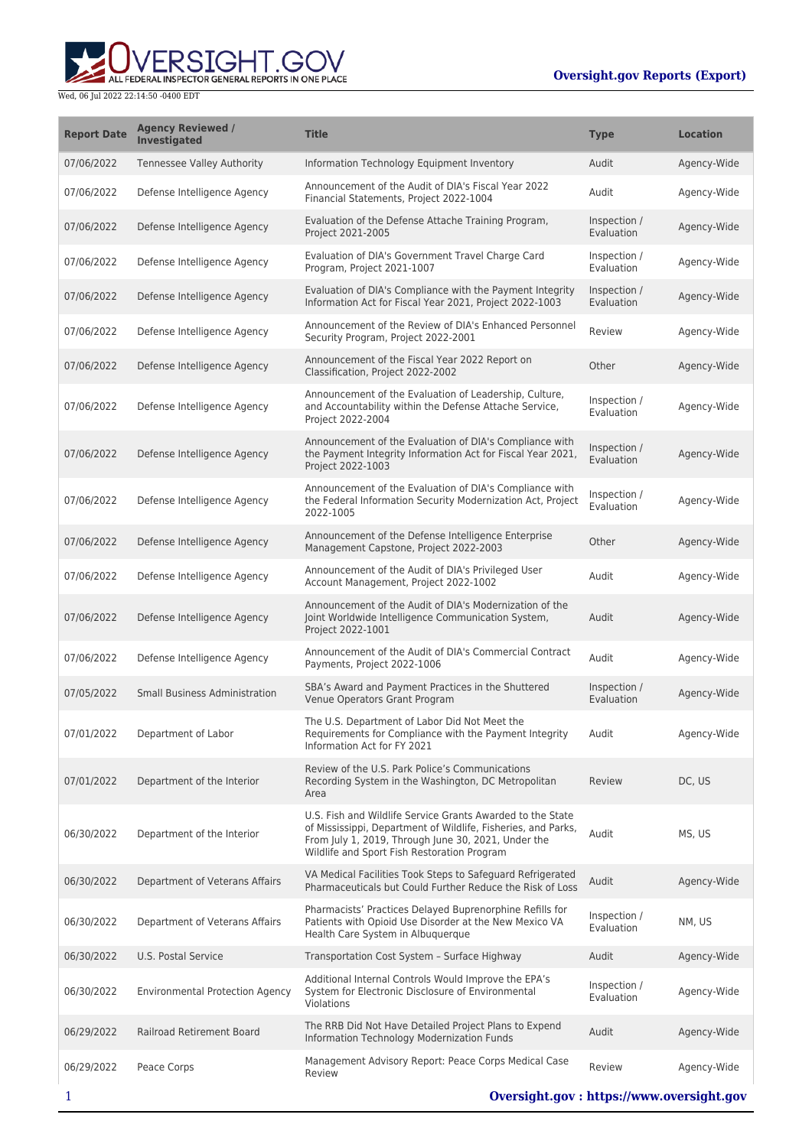ERSIGHT.GOV ALL FEDERAL INSPECTOR GENERAL REPORTS IN ONE PLACE

| <b>Report Date</b> | <b>Agency Reviewed /</b><br>Investigated | <b>Title</b>                                                                                                                                                                                                                      | <b>Type</b>                | <b>Location</b> |
|--------------------|------------------------------------------|-----------------------------------------------------------------------------------------------------------------------------------------------------------------------------------------------------------------------------------|----------------------------|-----------------|
| 07/06/2022         | Tennessee Valley Authority               | Information Technology Equipment Inventory                                                                                                                                                                                        | Audit                      | Agency-Wide     |
| 07/06/2022         | Defense Intelligence Agency              | Announcement of the Audit of DIA's Fiscal Year 2022<br>Financial Statements, Project 2022-1004                                                                                                                                    | Audit                      | Agency-Wide     |
| 07/06/2022         | Defense Intelligence Agency              | Evaluation of the Defense Attache Training Program,<br>Project 2021-2005                                                                                                                                                          | Inspection /<br>Evaluation | Agency-Wide     |
| 07/06/2022         | Defense Intelligence Agency              | Evaluation of DIA's Government Travel Charge Card<br>Program, Project 2021-1007                                                                                                                                                   | Inspection /<br>Evaluation | Agency-Wide     |
| 07/06/2022         | Defense Intelligence Agency              | Evaluation of DIA's Compliance with the Payment Integrity<br>Information Act for Fiscal Year 2021, Project 2022-1003                                                                                                              | Inspection /<br>Evaluation | Agency-Wide     |
| 07/06/2022         | Defense Intelligence Agency              | Announcement of the Review of DIA's Enhanced Personnel<br>Security Program, Project 2022-2001                                                                                                                                     | Review                     | Agency-Wide     |
| 07/06/2022         | Defense Intelligence Agency              | Announcement of the Fiscal Year 2022 Report on<br>Classification, Project 2022-2002                                                                                                                                               | Other                      | Agency-Wide     |
| 07/06/2022         | Defense Intelligence Agency              | Announcement of the Evaluation of Leadership, Culture,<br>and Accountability within the Defense Attache Service,<br>Project 2022-2004                                                                                             | Inspection /<br>Evaluation | Agency-Wide     |
| 07/06/2022         | Defense Intelligence Agency              | Announcement of the Evaluation of DIA's Compliance with<br>the Payment Integrity Information Act for Fiscal Year 2021,<br>Project 2022-1003                                                                                       | Inspection /<br>Evaluation | Agency-Wide     |
| 07/06/2022         | Defense Intelligence Agency              | Announcement of the Evaluation of DIA's Compliance with<br>the Federal Information Security Modernization Act, Project<br>2022-1005                                                                                               | Inspection /<br>Evaluation | Agency-Wide     |
| 07/06/2022         | Defense Intelligence Agency              | Announcement of the Defense Intelligence Enterprise<br>Management Capstone, Project 2022-2003                                                                                                                                     | Other                      | Agency-Wide     |
| 07/06/2022         | Defense Intelligence Agency              | Announcement of the Audit of DIA's Privileged User<br>Account Management, Project 2022-1002                                                                                                                                       | Audit                      | Agency-Wide     |
| 07/06/2022         | Defense Intelligence Agency              | Announcement of the Audit of DIA's Modernization of the<br>Joint Worldwide Intelligence Communication System,<br>Project 2022-1001                                                                                                | Audit                      | Agency-Wide     |
| 07/06/2022         | Defense Intelligence Agency              | Announcement of the Audit of DIA's Commercial Contract<br>Payments, Project 2022-1006                                                                                                                                             | Audit                      | Agency-Wide     |
| 07/05/2022         | <b>Small Business Administration</b>     | SBA's Award and Payment Practices in the Shuttered<br>Venue Operators Grant Program                                                                                                                                               | Inspection /<br>Evaluation | Agency-Wide     |
| 07/01/2022         | Department of Labor                      | The U.S. Department of Labor Did Not Meet the<br>Requirements for Compliance with the Payment Integrity<br>Information Act for FY 2021                                                                                            | Audit                      | Agency-Wide     |
| 07/01/2022         | Department of the Interior               | Review of the U.S. Park Police's Communications<br>Recording System in the Washington, DC Metropolitan<br>Area                                                                                                                    | Review                     | DC, US          |
| 06/30/2022         | Department of the Interior               | U.S. Fish and Wildlife Service Grants Awarded to the State<br>of Mississippi, Department of Wildlife, Fisheries, and Parks,<br>From July 1, 2019, Through June 30, 2021, Under the<br>Wildlife and Sport Fish Restoration Program | Audit                      | MS, US          |
| 06/30/2022         | Department of Veterans Affairs           | VA Medical Facilities Took Steps to Safeguard Refrigerated<br>Pharmaceuticals but Could Further Reduce the Risk of Loss                                                                                                           | Audit                      | Agency-Wide     |
| 06/30/2022         | Department of Veterans Affairs           | Pharmacists' Practices Delayed Buprenorphine Refills for<br>Patients with Opioid Use Disorder at the New Mexico VA<br>Health Care System in Albuquerque                                                                           | Inspection /<br>Evaluation | NM, US          |
| 06/30/2022         | U.S. Postal Service                      | Transportation Cost System - Surface Highway                                                                                                                                                                                      | Audit                      | Agency-Wide     |
| 06/30/2022         | <b>Environmental Protection Agency</b>   | Additional Internal Controls Would Improve the EPA's<br>System for Electronic Disclosure of Environmental<br>Violations                                                                                                           | Inspection /<br>Evaluation | Agency-Wide     |
| 06/29/2022         | Railroad Retirement Board                | The RRB Did Not Have Detailed Project Plans to Expend<br>Information Technology Modernization Funds                                                                                                                               | Audit                      | Agency-Wide     |
| 06/29/2022         | Peace Corps                              | Management Advisory Report: Peace Corps Medical Case<br>Review                                                                                                                                                                    | Review                     | Agency-Wide     |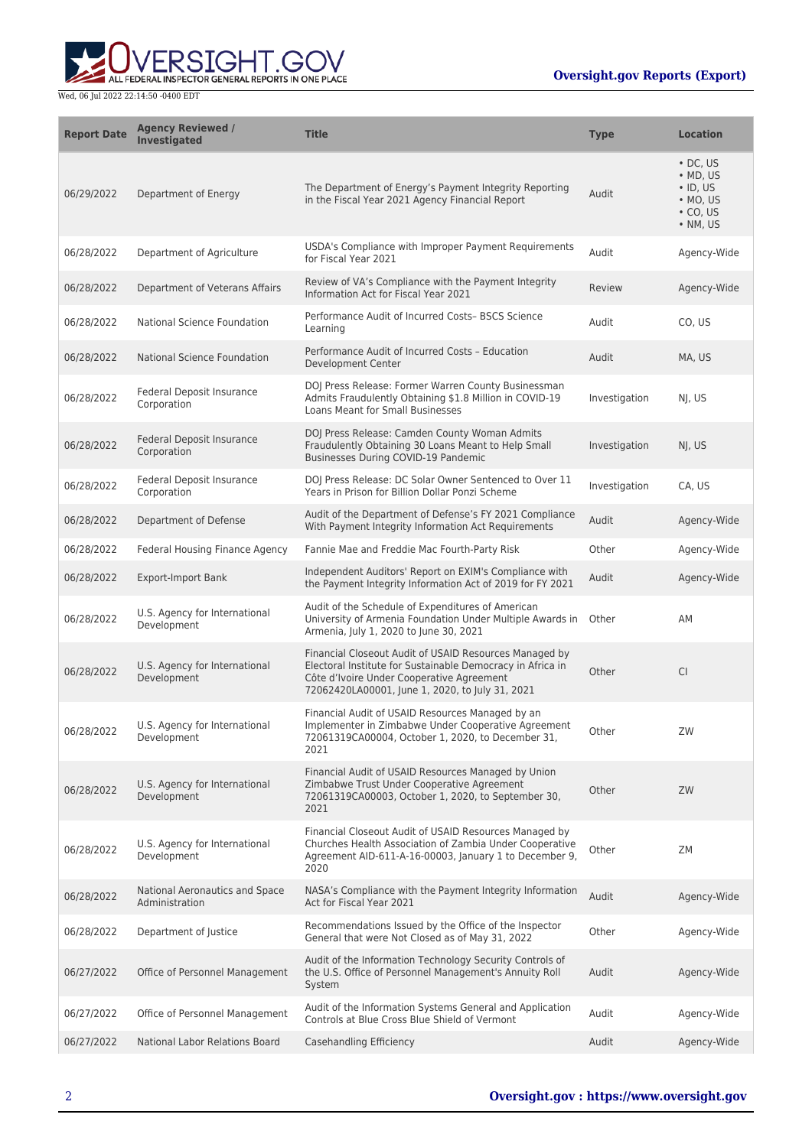**WERSIGHT.GOV** 

| <b>Report Date</b> | <b>Agency Reviewed /</b><br><b>Investigated</b>  | <b>Title</b>                                                                                                                                                                                                         | <b>Type</b>   | <b>Location</b>                                                                                                |
|--------------------|--------------------------------------------------|----------------------------------------------------------------------------------------------------------------------------------------------------------------------------------------------------------------------|---------------|----------------------------------------------------------------------------------------------------------------|
| 06/29/2022         | Department of Energy                             | The Department of Energy's Payment Integrity Reporting<br>in the Fiscal Year 2021 Agency Financial Report                                                                                                            | Audit         | $\cdot$ DC. US<br>$\bullet$ MD, US<br>$\cdot$ ID, US<br>$\bullet$ MO, US<br>$\cdot$ CO, US<br>$\bullet$ NM, US |
| 06/28/2022         | Department of Agriculture                        | USDA's Compliance with Improper Payment Requirements<br>for Fiscal Year 2021                                                                                                                                         | Audit         | Agency-Wide                                                                                                    |
| 06/28/2022         | Department of Veterans Affairs                   | Review of VA's Compliance with the Payment Integrity<br>Information Act for Fiscal Year 2021                                                                                                                         | Review        | Agency-Wide                                                                                                    |
| 06/28/2022         | National Science Foundation                      | Performance Audit of Incurred Costs- BSCS Science<br>Learning                                                                                                                                                        | Audit         | CO, US                                                                                                         |
| 06/28/2022         | National Science Foundation                      | Performance Audit of Incurred Costs - Education<br>Development Center                                                                                                                                                | Audit         | MA, US                                                                                                         |
| 06/28/2022         | Federal Deposit Insurance<br>Corporation         | DOJ Press Release: Former Warren County Businessman<br>Admits Fraudulently Obtaining \$1.8 Million in COVID-19<br>Loans Meant for Small Businesses                                                                   | Investigation | NJ, US                                                                                                         |
| 06/28/2022         | Federal Deposit Insurance<br>Corporation         | DOJ Press Release: Camden County Woman Admits<br>Fraudulently Obtaining 30 Loans Meant to Help Small<br>Businesses During COVID-19 Pandemic                                                                          | Investigation | NJ, US                                                                                                         |
| 06/28/2022         | Federal Deposit Insurance<br>Corporation         | DOJ Press Release: DC Solar Owner Sentenced to Over 11<br>Years in Prison for Billion Dollar Ponzi Scheme                                                                                                            | Investigation | CA, US                                                                                                         |
| 06/28/2022         | Department of Defense                            | Audit of the Department of Defense's FY 2021 Compliance<br>With Payment Integrity Information Act Requirements                                                                                                       | Audit         | Agency-Wide                                                                                                    |
| 06/28/2022         | Federal Housing Finance Agency                   | Fannie Mae and Freddie Mac Fourth-Party Risk                                                                                                                                                                         | Other         | Agency-Wide                                                                                                    |
| 06/28/2022         | <b>Export-Import Bank</b>                        | Independent Auditors' Report on EXIM's Compliance with<br>the Payment Integrity Information Act of 2019 for FY 2021                                                                                                  | Audit         | Agency-Wide                                                                                                    |
| 06/28/2022         | U.S. Agency for International<br>Development     | Audit of the Schedule of Expenditures of American<br>University of Armenia Foundation Under Multiple Awards in<br>Armenia, July 1, 2020 to June 30, 2021                                                             | Other         | AM                                                                                                             |
| 06/28/2022         | U.S. Agency for International<br>Development     | Financial Closeout Audit of USAID Resources Managed by<br>Electoral Institute for Sustainable Democracy in Africa in<br>Côte d'Ivoire Under Cooperative Agreement<br>72062420LA00001, June 1, 2020, to July 31, 2021 | Other         | <b>CI</b>                                                                                                      |
| 06/28/2022         | U.S. Agency for International<br>Development     | Financial Audit of USAID Resources Managed by an<br>Implementer in Zimbabwe Under Cooperative Agreement<br>72061319CA00004, October 1, 2020, to December 31,<br>2021                                                 | Other         | ZW                                                                                                             |
| 06/28/2022         | U.S. Agency for International<br>Development     | Financial Audit of USAID Resources Managed by Union<br>Zimbabwe Trust Under Cooperative Agreement<br>72061319CA00003, October 1, 2020, to September 30,<br>2021                                                      | Other         | ZW                                                                                                             |
| 06/28/2022         | U.S. Agency for International<br>Development     | Financial Closeout Audit of USAID Resources Managed by<br>Churches Health Association of Zambia Under Cooperative<br>Agreement AID-611-A-16-00003, January 1 to December 9,<br>2020                                  | Other         | ZΜ                                                                                                             |
| 06/28/2022         | National Aeronautics and Space<br>Administration | NASA's Compliance with the Payment Integrity Information<br>Act for Fiscal Year 2021                                                                                                                                 | Audit         | Agency-Wide                                                                                                    |
| 06/28/2022         | Department of Justice                            | Recommendations Issued by the Office of the Inspector<br>General that were Not Closed as of May 31, 2022                                                                                                             | Other         | Agency-Wide                                                                                                    |
| 06/27/2022         | Office of Personnel Management                   | Audit of the Information Technology Security Controls of<br>the U.S. Office of Personnel Management's Annuity Roll<br>System                                                                                         | Audit         | Agency-Wide                                                                                                    |
| 06/27/2022         | Office of Personnel Management                   | Audit of the Information Systems General and Application<br>Controls at Blue Cross Blue Shield of Vermont                                                                                                            | Audit         | Agency-Wide                                                                                                    |
| 06/27/2022         | National Labor Relations Board                   | Casehandling Efficiency                                                                                                                                                                                              | Audit         | Agency-Wide                                                                                                    |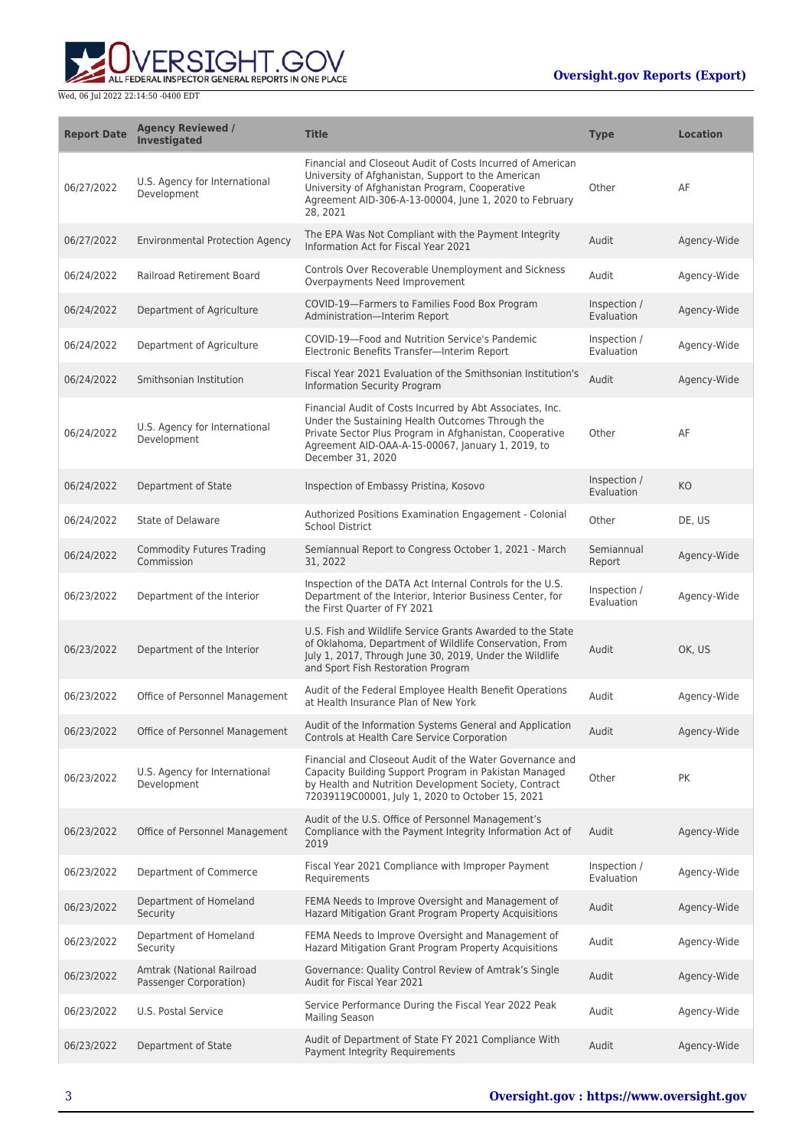

| <b>Report Date</b> | <b>Agency Reviewed /</b><br>Investigated            | <b>Title</b>                                                                                                                                                                                                                                       | <b>Type</b>                | <b>Location</b> |
|--------------------|-----------------------------------------------------|----------------------------------------------------------------------------------------------------------------------------------------------------------------------------------------------------------------------------------------------------|----------------------------|-----------------|
| 06/27/2022         | U.S. Agency for International<br>Development        | Financial and Closeout Audit of Costs Incurred of American<br>University of Afghanistan, Support to the American<br>University of Afghanistan Program, Cooperative<br>Agreement AID-306-A-13-00004, June 1, 2020 to February<br>28.2021            | Other                      | AF              |
| 06/27/2022         | <b>Environmental Protection Agency</b>              | The EPA Was Not Compliant with the Payment Integrity<br>Information Act for Fiscal Year 2021                                                                                                                                                       | Audit                      | Agency-Wide     |
| 06/24/2022         | Railroad Retirement Board                           | Controls Over Recoverable Unemployment and Sickness<br>Overpayments Need Improvement                                                                                                                                                               | Audit                      | Agency-Wide     |
| 06/24/2022         | Department of Agriculture                           | COVID-19-Farmers to Families Food Box Program<br>Administration-Interim Report                                                                                                                                                                     | Inspection /<br>Evaluation | Agency-Wide     |
| 06/24/2022         | Department of Agriculture                           | COVID-19-Food and Nutrition Service's Pandemic<br>Electronic Benefits Transfer-Interim Report                                                                                                                                                      | Inspection /<br>Evaluation | Agency-Wide     |
| 06/24/2022         | Smithsonian Institution                             | Fiscal Year 2021 Evaluation of the Smithsonian Institution's<br>Information Security Program                                                                                                                                                       | Audit                      | Agency-Wide     |
| 06/24/2022         | U.S. Agency for International<br>Development        | Financial Audit of Costs Incurred by Abt Associates, Inc.<br>Under the Sustaining Health Outcomes Through the<br>Private Sector Plus Program in Afghanistan, Cooperative<br>Agreement AID-OAA-A-15-00067, January 1, 2019, to<br>December 31, 2020 | Other                      | AF              |
| 06/24/2022         | Department of State                                 | Inspection of Embassy Pristina, Kosovo                                                                                                                                                                                                             | Inspection /<br>Evaluation | KO              |
| 06/24/2022         | State of Delaware                                   | Authorized Positions Examination Engagement - Colonial<br><b>School District</b>                                                                                                                                                                   | Other                      | DE, US          |
| 06/24/2022         | <b>Commodity Futures Trading</b><br>Commission      | Semiannual Report to Congress October 1, 2021 - March<br>31, 2022                                                                                                                                                                                  | Semiannual<br>Report       | Agency-Wide     |
| 06/23/2022         | Department of the Interior                          | Inspection of the DATA Act Internal Controls for the U.S.<br>Department of the Interior, Interior Business Center, for<br>the First Quarter of FY 2021                                                                                             | Inspection /<br>Evaluation | Agency-Wide     |
| 06/23/2022         | Department of the Interior                          | U.S. Fish and Wildlife Service Grants Awarded to the State<br>of Oklahoma, Department of Wildlife Conservation, From<br>July 1, 2017, Through June 30, 2019, Under the Wildlife<br>and Sport Fish Restoration Program                              | Audit                      | OK, US          |
| 06/23/2022         | Office of Personnel Management                      | Audit of the Federal Employee Health Benefit Operations<br>at Health Insurance Plan of New York                                                                                                                                                    | Audit                      | Agency-Wide     |
| 06/23/2022         | Office of Personnel Management                      | Audit of the Information Systems General and Application<br>Controls at Health Care Service Corporation                                                                                                                                            | Audit                      | Agency-Wide     |
| 06/23/2022         | U.S. Agency for International<br>Development        | Financial and Closeout Audit of the Water Governance and<br>Capacity Building Support Program in Pakistan Managed<br>by Health and Nutrition Development Society, Contract<br>72039119C00001, July 1, 2020 to October 15, 2021                     | Other                      | РK              |
| 06/23/2022         | Office of Personnel Management                      | Audit of the U.S. Office of Personnel Management's<br>Compliance with the Payment Integrity Information Act of<br>2019                                                                                                                             | Audit                      | Agency-Wide     |
| 06/23/2022         | Department of Commerce                              | Fiscal Year 2021 Compliance with Improper Payment<br>Requirements                                                                                                                                                                                  | Inspection /<br>Evaluation | Agency-Wide     |
| 06/23/2022         | Department of Homeland<br>Security                  | FEMA Needs to Improve Oversight and Management of<br>Hazard Mitigation Grant Program Property Acquisitions                                                                                                                                         | Audit                      | Agency-Wide     |
| 06/23/2022         | Department of Homeland<br>Security                  | FEMA Needs to Improve Oversight and Management of<br>Hazard Mitigation Grant Program Property Acquisitions                                                                                                                                         | Audit                      | Agency-Wide     |
| 06/23/2022         | Amtrak (National Railroad<br>Passenger Corporation) | Governance: Quality Control Review of Amtrak's Single<br>Audit for Fiscal Year 2021                                                                                                                                                                | Audit                      | Agency-Wide     |
| 06/23/2022         | U.S. Postal Service                                 | Service Performance During the Fiscal Year 2022 Peak<br><b>Mailing Season</b>                                                                                                                                                                      | Audit                      | Agency-Wide     |
| 06/23/2022         | Department of State                                 | Audit of Department of State FY 2021 Compliance With<br>Payment Integrity Requirements                                                                                                                                                             | Audit                      | Agency-Wide     |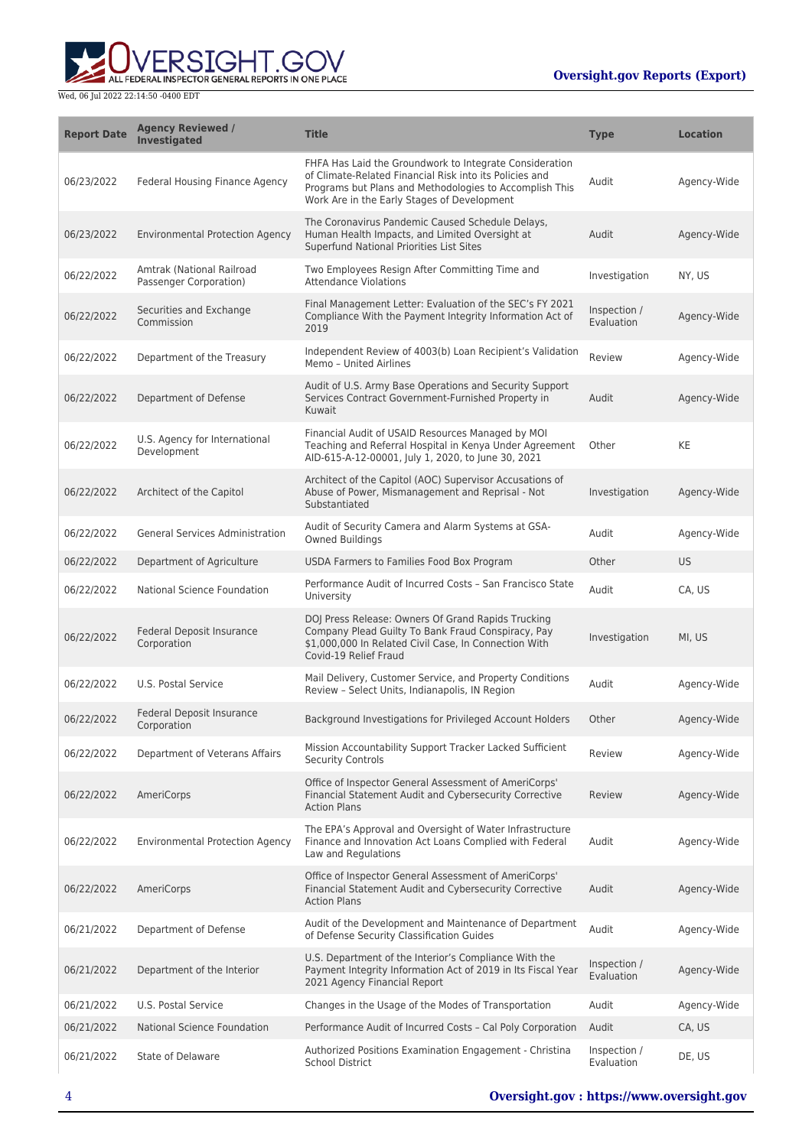

| <b>Report Date</b> | <b>Agency Reviewed /</b><br><b>Investigated</b>     | <b>Title</b>                                                                                                                                                                                                                 | <b>Type</b>                | <b>Location</b> |
|--------------------|-----------------------------------------------------|------------------------------------------------------------------------------------------------------------------------------------------------------------------------------------------------------------------------------|----------------------------|-----------------|
| 06/23/2022         | Federal Housing Finance Agency                      | FHFA Has Laid the Groundwork to Integrate Consideration<br>of Climate-Related Financial Risk into its Policies and<br>Programs but Plans and Methodologies to Accomplish This<br>Work Are in the Early Stages of Development | Audit                      | Agency-Wide     |
| 06/23/2022         | <b>Environmental Protection Agency</b>              | The Coronavirus Pandemic Caused Schedule Delays,<br>Human Health Impacts, and Limited Oversight at<br>Superfund National Priorities List Sites                                                                               | Audit                      | Agency-Wide     |
| 06/22/2022         | Amtrak (National Railroad<br>Passenger Corporation) | Two Employees Resign After Committing Time and<br><b>Attendance Violations</b>                                                                                                                                               | Investigation              | NY, US          |
| 06/22/2022         | Securities and Exchange<br>Commission               | Final Management Letter: Evaluation of the SEC's FY 2021<br>Compliance With the Payment Integrity Information Act of<br>2019                                                                                                 | Inspection /<br>Evaluation | Agency-Wide     |
| 06/22/2022         | Department of the Treasury                          | Independent Review of 4003(b) Loan Recipient's Validation<br>Memo - United Airlines                                                                                                                                          | Review                     | Agency-Wide     |
| 06/22/2022         | Department of Defense                               | Audit of U.S. Army Base Operations and Security Support<br>Services Contract Government-Furnished Property in<br>Kuwait                                                                                                      | Audit                      | Agency-Wide     |
| 06/22/2022         | U.S. Agency for International<br>Development        | Financial Audit of USAID Resources Managed by MOI<br>Teaching and Referral Hospital in Kenya Under Agreement<br>AID-615-A-12-00001, July 1, 2020, to June 30, 2021                                                           | Other                      | KE              |
| 06/22/2022         | Architect of the Capitol                            | Architect of the Capitol (AOC) Supervisor Accusations of<br>Abuse of Power, Mismanagement and Reprisal - Not<br>Substantiated                                                                                                | Investigation              | Agency-Wide     |
| 06/22/2022         | <b>General Services Administration</b>              | Audit of Security Camera and Alarm Systems at GSA-<br>Owned Buildings                                                                                                                                                        | Audit                      | Agency-Wide     |
| 06/22/2022         | Department of Agriculture                           | USDA Farmers to Families Food Box Program                                                                                                                                                                                    | Other                      | <b>US</b>       |
| 06/22/2022         | National Science Foundation                         | Performance Audit of Incurred Costs - San Francisco State<br>University                                                                                                                                                      | Audit                      | CA, US          |
| 06/22/2022         | Federal Deposit Insurance<br>Corporation            | DOJ Press Release: Owners Of Grand Rapids Trucking<br>Company Plead Guilty To Bank Fraud Conspiracy, Pay<br>\$1,000,000 In Related Civil Case, In Connection With<br>Covid-19 Relief Fraud                                   | Investigation              | MI, US          |
| 06/22/2022         | U.S. Postal Service                                 | Mail Delivery, Customer Service, and Property Conditions<br>Review - Select Units, Indianapolis, IN Region                                                                                                                   | Audit                      | Agency-Wide     |
| 06/22/2022         | <b>Federal Deposit Insurance</b><br>Corporation     | Background Investigations for Privileged Account Holders                                                                                                                                                                     | Other                      | Agency-Wide     |
| 06/22/2022         | Department of Veterans Affairs                      | Mission Accountability Support Tracker Lacked Sufficient<br><b>Security Controls</b>                                                                                                                                         | Review                     | Agency-Wide     |
| 06/22/2022         | AmeriCorps                                          | Office of Inspector General Assessment of AmeriCorps'<br>Financial Statement Audit and Cybersecurity Corrective<br><b>Action Plans</b>                                                                                       | Review                     | Agency-Wide     |
| 06/22/2022         | <b>Environmental Protection Agency</b>              | The EPA's Approval and Oversight of Water Infrastructure<br>Finance and Innovation Act Loans Complied with Federal<br>Law and Regulations                                                                                    | Audit                      | Agency-Wide     |
| 06/22/2022         | AmeriCorps                                          | Office of Inspector General Assessment of AmeriCorps'<br>Financial Statement Audit and Cybersecurity Corrective<br><b>Action Plans</b>                                                                                       | Audit                      | Agency-Wide     |
| 06/21/2022         | Department of Defense                               | Audit of the Development and Maintenance of Department<br>of Defense Security Classification Guides                                                                                                                          | Audit                      | Agency-Wide     |
| 06/21/2022         | Department of the Interior                          | U.S. Department of the Interior's Compliance With the<br>Payment Integrity Information Act of 2019 in Its Fiscal Year<br>2021 Agency Financial Report                                                                        | Inspection /<br>Evaluation | Agency-Wide     |
| 06/21/2022         | U.S. Postal Service                                 | Changes in the Usage of the Modes of Transportation                                                                                                                                                                          | Audit                      | Agency-Wide     |
| 06/21/2022         | National Science Foundation                         | Performance Audit of Incurred Costs - Cal Poly Corporation                                                                                                                                                                   | Audit                      | CA, US          |
| 06/21/2022         | State of Delaware                                   | Authorized Positions Examination Engagement - Christina<br><b>School District</b>                                                                                                                                            | Inspection /<br>Evaluation | DE, US          |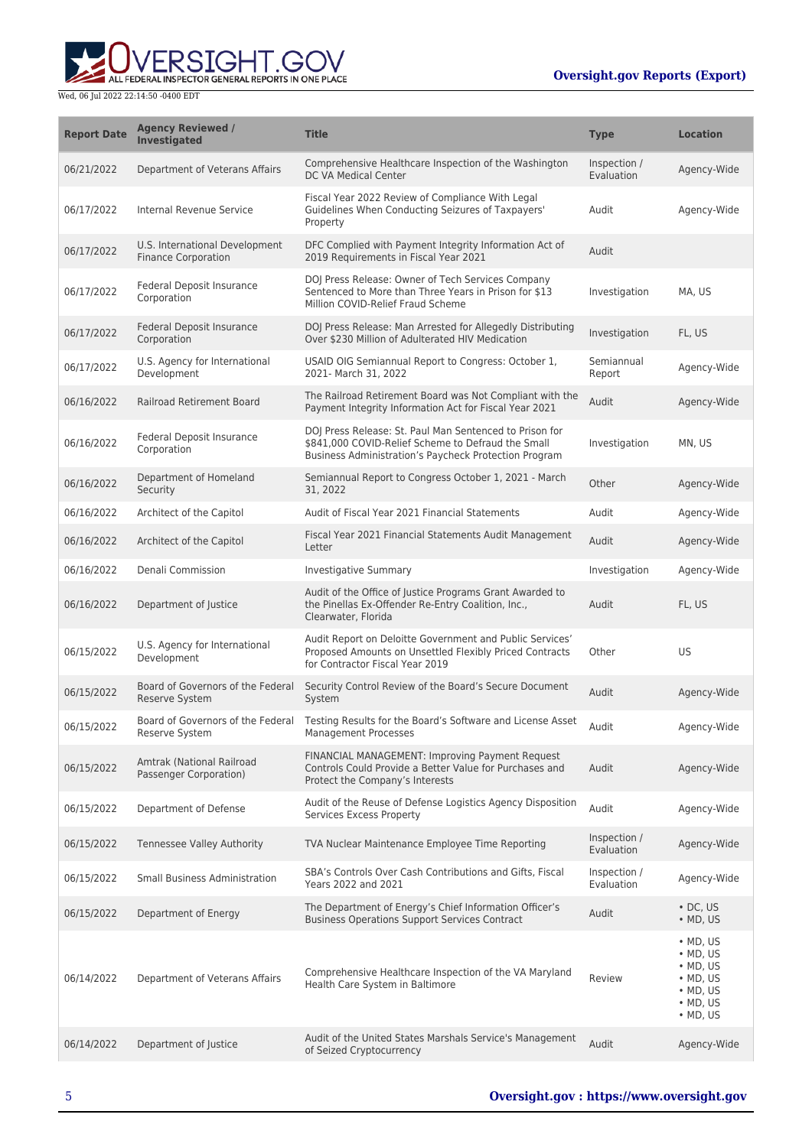ERSIGHT.GOV ALL FEDERAL INSPECTOR GENERAL REPORTS IN ONE PLACE

| <b>Report Date</b> | <b>Agency Reviewed /</b><br><b>Investigated</b>              | <b>Title</b>                                                                                                                                                           | <b>Type</b>                | <b>Location</b>                                                                                                                          |
|--------------------|--------------------------------------------------------------|------------------------------------------------------------------------------------------------------------------------------------------------------------------------|----------------------------|------------------------------------------------------------------------------------------------------------------------------------------|
| 06/21/2022         | Department of Veterans Affairs                               | Comprehensive Healthcare Inspection of the Washington<br>DC VA Medical Center                                                                                          | Inspection /<br>Evaluation | Agency-Wide                                                                                                                              |
| 06/17/2022         | Internal Revenue Service                                     | Fiscal Year 2022 Review of Compliance With Legal<br>Guidelines When Conducting Seizures of Taxpayers'<br>Property                                                      | Audit                      | Agency-Wide                                                                                                                              |
| 06/17/2022         | U.S. International Development<br><b>Finance Corporation</b> | DFC Complied with Payment Integrity Information Act of<br>2019 Requirements in Fiscal Year 2021                                                                        | Audit                      |                                                                                                                                          |
| 06/17/2022         | Federal Deposit Insurance<br>Corporation                     | DOJ Press Release: Owner of Tech Services Company<br>Sentenced to More than Three Years in Prison for \$13<br>Million COVID-Relief Fraud Scheme                        | Investigation              | MA, US                                                                                                                                   |
| 06/17/2022         | Federal Deposit Insurance<br>Corporation                     | DOJ Press Release: Man Arrested for Allegedly Distributing<br>Over \$230 Million of Adulterated HIV Medication                                                         | Investigation              | FL, US                                                                                                                                   |
| 06/17/2022         | U.S. Agency for International<br>Development                 | USAID OIG Semiannual Report to Congress: October 1,<br>2021- March 31, 2022                                                                                            | Semiannual<br>Report       | Agency-Wide                                                                                                                              |
| 06/16/2022         | Railroad Retirement Board                                    | The Railroad Retirement Board was Not Compliant with the<br>Payment Integrity Information Act for Fiscal Year 2021                                                     | Audit                      | Agency-Wide                                                                                                                              |
| 06/16/2022         | Federal Deposit Insurance<br>Corporation                     | DOJ Press Release: St. Paul Man Sentenced to Prison for<br>\$841,000 COVID-Relief Scheme to Defraud the Small<br>Business Administration's Paycheck Protection Program | Investigation              | MN, US                                                                                                                                   |
| 06/16/2022         | Department of Homeland<br>Security                           | Semiannual Report to Congress October 1, 2021 - March<br>31, 2022                                                                                                      | Other                      | Agency-Wide                                                                                                                              |
| 06/16/2022         | Architect of the Capitol                                     | Audit of Fiscal Year 2021 Financial Statements                                                                                                                         | Audit                      | Agency-Wide                                                                                                                              |
| 06/16/2022         | Architect of the Capitol                                     | Fiscal Year 2021 Financial Statements Audit Management<br>Letter                                                                                                       | Audit                      | Agency-Wide                                                                                                                              |
| 06/16/2022         | Denali Commission                                            | <b>Investigative Summary</b>                                                                                                                                           | Investigation              | Agency-Wide                                                                                                                              |
| 06/16/2022         | Department of Justice                                        | Audit of the Office of Justice Programs Grant Awarded to<br>the Pinellas Ex-Offender Re-Entry Coalition, Inc.,<br>Clearwater, Florida                                  | Audit                      | FL, US                                                                                                                                   |
| 06/15/2022         | U.S. Agency for International<br>Development                 | Audit Report on Deloitte Government and Public Services'<br>Proposed Amounts on Unsettled Flexibly Priced Contracts<br>for Contractor Fiscal Year 2019                 | Other                      | US                                                                                                                                       |
| 06/15/2022         | Board of Governors of the Federal<br><b>Reserve System</b>   | Security Control Review of the Board's Secure Document<br>System                                                                                                       | Audit                      | Agency-Wide                                                                                                                              |
| 06/15/2022         | Board of Governors of the Federal<br>Reserve System          | Testing Results for the Board's Software and License Asset<br>Management Processes                                                                                     | Audit                      | Agency-Wide                                                                                                                              |
| 06/15/2022         | Amtrak (National Railroad<br>Passenger Corporation)          | FINANCIAL MANAGEMENT: Improving Payment Request<br>Controls Could Provide a Better Value for Purchases and<br>Protect the Company's Interests                          | Audit                      | Agency-Wide                                                                                                                              |
| 06/15/2022         | Department of Defense                                        | Audit of the Reuse of Defense Logistics Agency Disposition<br>Services Excess Property                                                                                 | Audit                      | Agency-Wide                                                                                                                              |
| 06/15/2022         | <b>Tennessee Valley Authority</b>                            | TVA Nuclear Maintenance Employee Time Reporting                                                                                                                        | Inspection /<br>Evaluation | Agency-Wide                                                                                                                              |
| 06/15/2022         | <b>Small Business Administration</b>                         | SBA's Controls Over Cash Contributions and Gifts, Fiscal<br>Years 2022 and 2021                                                                                        | Inspection /<br>Evaluation | Agency-Wide                                                                                                                              |
| 06/15/2022         | Department of Energy                                         | The Department of Energy's Chief Information Officer's<br><b>Business Operations Support Services Contract</b>                                                         | Audit                      | $\cdot$ DC, US<br>$\bullet$ MD, US                                                                                                       |
| 06/14/2022         | Department of Veterans Affairs                               | Comprehensive Healthcare Inspection of the VA Maryland<br>Health Care System in Baltimore                                                                              | Review                     | $\bullet$ MD, US<br>$\bullet$ MD, US<br>$\bullet$ MD, US<br>$\bullet$ MD, US<br>$\bullet$ MD, US<br>$\bullet$ MD, US<br>$\bullet$ MD, US |
| 06/14/2022         | Department of Justice                                        | Audit of the United States Marshals Service's Management<br>of Seized Cryptocurrency                                                                                   | Audit                      | Agency-Wide                                                                                                                              |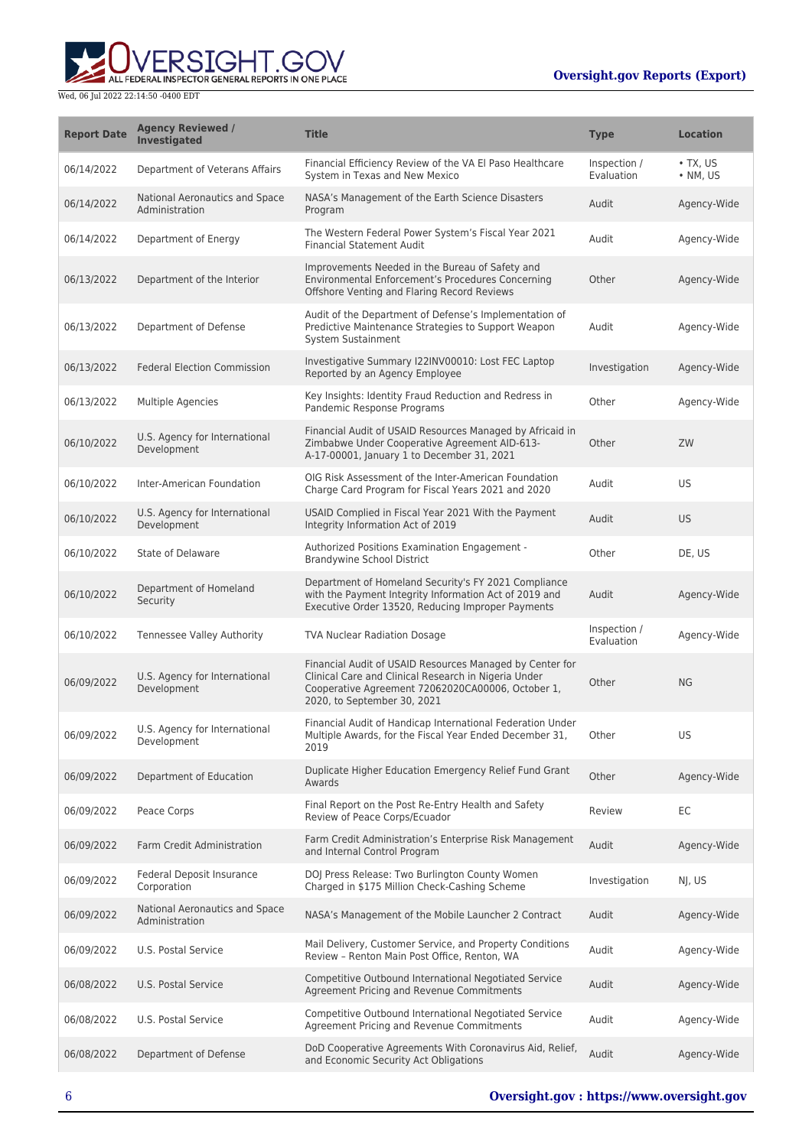

| <b>Report Date</b> | <b>Agency Reviewed /</b><br><b>Investigated</b>  | <b>Title</b>                                                                                                                                                                                         | <b>Type</b>                | <b>Location</b>                    |
|--------------------|--------------------------------------------------|------------------------------------------------------------------------------------------------------------------------------------------------------------------------------------------------------|----------------------------|------------------------------------|
| 06/14/2022         | Department of Veterans Affairs                   | Financial Efficiency Review of the VA El Paso Healthcare<br>System in Texas and New Mexico                                                                                                           | Inspection /<br>Evaluation | $\cdot$ TX, US<br>$\bullet$ NM, US |
| 06/14/2022         | National Aeronautics and Space<br>Administration | NASA's Management of the Earth Science Disasters<br>Program                                                                                                                                          | Audit                      | Agency-Wide                        |
| 06/14/2022         | Department of Energy                             | The Western Federal Power System's Fiscal Year 2021<br><b>Financial Statement Audit</b>                                                                                                              | Audit                      | Agency-Wide                        |
| 06/13/2022         | Department of the Interior                       | Improvements Needed in the Bureau of Safety and<br>Environmental Enforcement's Procedures Concerning<br>Offshore Venting and Flaring Record Reviews                                                  | Other                      | Agency-Wide                        |
| 06/13/2022         | Department of Defense                            | Audit of the Department of Defense's Implementation of<br>Predictive Maintenance Strategies to Support Weapon<br>System Sustainment                                                                  | Audit                      | Agency-Wide                        |
| 06/13/2022         | <b>Federal Election Commission</b>               | Investigative Summary I22INV00010: Lost FEC Laptop<br>Reported by an Agency Employee                                                                                                                 | Investigation              | Agency-Wide                        |
| 06/13/2022         | Multiple Agencies                                | Key Insights: Identity Fraud Reduction and Redress in<br>Pandemic Response Programs                                                                                                                  | Other                      | Agency-Wide                        |
| 06/10/2022         | U.S. Agency for International<br>Development     | Financial Audit of USAID Resources Managed by Africaid in<br>Zimbabwe Under Cooperative Agreement AID-613-<br>A-17-00001, January 1 to December 31, 2021                                             | Other                      | ZW                                 |
| 06/10/2022         | Inter-American Foundation                        | OIG Risk Assessment of the Inter-American Foundation<br>Charge Card Program for Fiscal Years 2021 and 2020                                                                                           | Audit                      | US                                 |
| 06/10/2022         | U.S. Agency for International<br>Development     | USAID Complied in Fiscal Year 2021 With the Payment<br>Integrity Information Act of 2019                                                                                                             | Audit                      | US                                 |
| 06/10/2022         | State of Delaware                                | Authorized Positions Examination Engagement -<br><b>Brandywine School District</b>                                                                                                                   | Other                      | DE, US                             |
| 06/10/2022         | Department of Homeland<br>Security               | Department of Homeland Security's FY 2021 Compliance<br>with the Payment Integrity Information Act of 2019 and<br>Executive Order 13520, Reducing Improper Payments                                  | Audit                      | Agency-Wide                        |
| 06/10/2022         | Tennessee Valley Authority                       | <b>TVA Nuclear Radiation Dosage</b>                                                                                                                                                                  | Inspection /<br>Evaluation | Agency-Wide                        |
| 06/09/2022         | U.S. Agency for International<br>Development     | Financial Audit of USAID Resources Managed by Center for<br>Clinical Care and Clinical Research in Nigeria Under<br>Cooperative Agreement 72062020CA00006, October 1,<br>2020, to September 30, 2021 | Other                      | <b>NG</b>                          |
| 06/09/2022         | U.S. Agency for International<br>Development     | Financial Audit of Handicap International Federation Under<br>Multiple Awards, for the Fiscal Year Ended December 31,<br>2019                                                                        | Other                      | US                                 |
| 06/09/2022         | Department of Education                          | Duplicate Higher Education Emergency Relief Fund Grant<br>Awards                                                                                                                                     | Other                      | Agency-Wide                        |
| 06/09/2022         | Peace Corps                                      | Final Report on the Post Re-Entry Health and Safety<br>Review of Peace Corps/Ecuador                                                                                                                 | Review                     | EC                                 |
| 06/09/2022         | Farm Credit Administration                       | Farm Credit Administration's Enterprise Risk Management<br>and Internal Control Program                                                                                                              | Audit                      | Agency-Wide                        |
| 06/09/2022         | Federal Deposit Insurance<br>Corporation         | DOJ Press Release: Two Burlington County Women<br>Charged in \$175 Million Check-Cashing Scheme                                                                                                      | Investigation              | NI, US                             |
| 06/09/2022         | National Aeronautics and Space<br>Administration | NASA's Management of the Mobile Launcher 2 Contract                                                                                                                                                  | Audit                      | Agency-Wide                        |
| 06/09/2022         | U.S. Postal Service                              | Mail Delivery, Customer Service, and Property Conditions<br>Review - Renton Main Post Office, Renton, WA                                                                                             | Audit                      | Agency-Wide                        |
| 06/08/2022         | U.S. Postal Service                              | Competitive Outbound International Negotiated Service<br>Agreement Pricing and Revenue Commitments                                                                                                   | Audit                      | Agency-Wide                        |
| 06/08/2022         | U.S. Postal Service                              | Competitive Outbound International Negotiated Service<br>Agreement Pricing and Revenue Commitments                                                                                                   | Audit                      | Agency-Wide                        |
| 06/08/2022         | Department of Defense                            | DoD Cooperative Agreements With Coronavirus Aid, Relief,<br>and Economic Security Act Obligations                                                                                                    | Audit                      | Agency-Wide                        |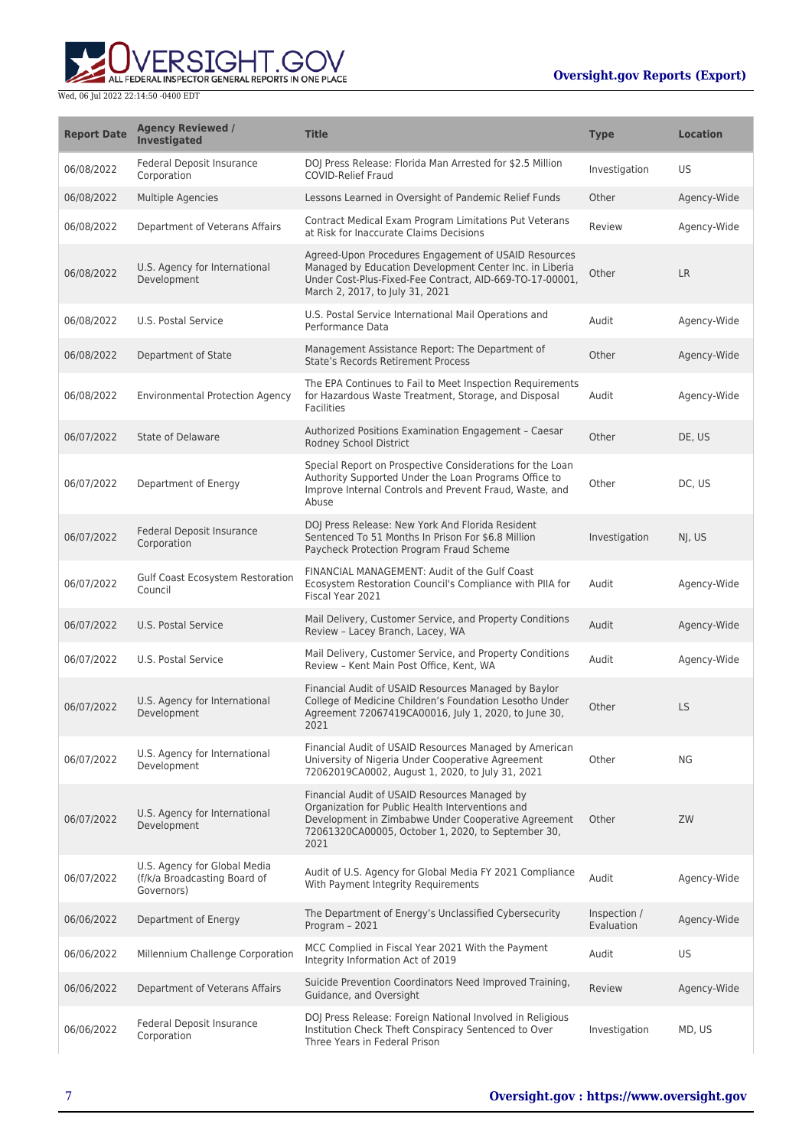

| <b>Report Date</b> | <b>Agency Reviewed /</b><br><b>Investigated</b>                            | <b>Title</b>                                                                                                                                                                                                           | <b>Type</b>                | <b>Location</b> |
|--------------------|----------------------------------------------------------------------------|------------------------------------------------------------------------------------------------------------------------------------------------------------------------------------------------------------------------|----------------------------|-----------------|
| 06/08/2022         | <b>Federal Deposit Insurance</b><br>Corporation                            | DOJ Press Release: Florida Man Arrested for \$2.5 Million<br><b>COVID-Relief Fraud</b>                                                                                                                                 | Investigation              | US              |
| 06/08/2022         | <b>Multiple Agencies</b>                                                   | Lessons Learned in Oversight of Pandemic Relief Funds                                                                                                                                                                  | Other                      | Agency-Wide     |
| 06/08/2022         | Department of Veterans Affairs                                             | Contract Medical Exam Program Limitations Put Veterans<br>at Risk for Inaccurate Claims Decisions                                                                                                                      | Review                     | Agency-Wide     |
| 06/08/2022         | U.S. Agency for International<br>Development                               | Agreed-Upon Procedures Engagement of USAID Resources<br>Managed by Education Development Center Inc. in Liberia<br>Under Cost-Plus-Fixed-Fee Contract, AID-669-TO-17-00001,<br>March 2, 2017, to July 31, 2021         | Other                      | <b>LR</b>       |
| 06/08/2022         | U.S. Postal Service                                                        | U.S. Postal Service International Mail Operations and<br>Performance Data                                                                                                                                              | Audit                      | Agency-Wide     |
| 06/08/2022         | Department of State                                                        | Management Assistance Report: The Department of<br><b>State's Records Retirement Process</b>                                                                                                                           | Other                      | Agency-Wide     |
| 06/08/2022         | <b>Environmental Protection Agency</b>                                     | The EPA Continues to Fail to Meet Inspection Requirements<br>for Hazardous Waste Treatment, Storage, and Disposal<br><b>Facilities</b>                                                                                 | Audit                      | Agency-Wide     |
| 06/07/2022         | State of Delaware                                                          | Authorized Positions Examination Engagement - Caesar<br>Rodney School District                                                                                                                                         | Other                      | DE, US          |
| 06/07/2022         | Department of Energy                                                       | Special Report on Prospective Considerations for the Loan<br>Authority Supported Under the Loan Programs Office to<br>Improve Internal Controls and Prevent Fraud, Waste, and<br>Abuse                                 | Other                      | DC, US          |
| 06/07/2022         | <b>Federal Deposit Insurance</b><br>Corporation                            | DOJ Press Release: New York And Florida Resident<br>Sentenced To 51 Months In Prison For \$6.8 Million<br>Paycheck Protection Program Fraud Scheme                                                                     | Investigation              | NJ, US          |
| 06/07/2022         | <b>Gulf Coast Ecosystem Restoration</b><br>Council                         | FINANCIAL MANAGEMENT: Audit of the Gulf Coast<br>Ecosystem Restoration Council's Compliance with PIIA for<br>Fiscal Year 2021                                                                                          | Audit                      | Agency-Wide     |
| 06/07/2022         | U.S. Postal Service                                                        | Mail Delivery, Customer Service, and Property Conditions<br>Review - Lacey Branch, Lacey, WA                                                                                                                           | Audit                      | Agency-Wide     |
| 06/07/2022         | U.S. Postal Service                                                        | Mail Delivery, Customer Service, and Property Conditions<br>Review - Kent Main Post Office, Kent, WA                                                                                                                   | Audit                      | Agency-Wide     |
| 06/07/2022         | U.S. Agency for International<br>Development                               | Financial Audit of USAID Resources Managed by Baylor<br>College of Medicine Children's Foundation Lesotho Under<br>Agreement 72067419CA00016, July 1, 2020, to June 30,<br>2021                                        | Other                      | <b>LS</b>       |
| 06/07/2022         | U.S. Agency for International<br>Development                               | Financial Audit of USAID Resources Managed by American<br>University of Nigeria Under Cooperative Agreement<br>72062019CA0002, August 1, 2020, to July 31, 2021                                                        | Other                      | NG              |
| 06/07/2022         | U.S. Agency for International<br>Development                               | Financial Audit of USAID Resources Managed by<br>Organization for Public Health Interventions and<br>Development in Zimbabwe Under Cooperative Agreement<br>72061320CA00005, October 1, 2020, to September 30,<br>2021 | Other                      | ZW              |
| 06/07/2022         | U.S. Agency for Global Media<br>(f/k/a Broadcasting Board of<br>Governors) | Audit of U.S. Agency for Global Media FY 2021 Compliance<br>With Payment Integrity Requirements                                                                                                                        | Audit                      | Agency-Wide     |
| 06/06/2022         | Department of Energy                                                       | The Department of Energy's Unclassified Cybersecurity<br>Program - 2021                                                                                                                                                | Inspection /<br>Evaluation | Agency-Wide     |
| 06/06/2022         | Millennium Challenge Corporation                                           | MCC Complied in Fiscal Year 2021 With the Payment<br>Integrity Information Act of 2019                                                                                                                                 | Audit                      | US              |
| 06/06/2022         | Department of Veterans Affairs                                             | Suicide Prevention Coordinators Need Improved Training,<br>Guidance, and Oversight                                                                                                                                     | Review                     | Agency-Wide     |
| 06/06/2022         | <b>Federal Deposit Insurance</b><br>Corporation                            | DOJ Press Release: Foreign National Involved in Religious<br>Institution Check Theft Conspiracy Sentenced to Over<br>Three Years in Federal Prison                                                                     | Investigation              | MD, US          |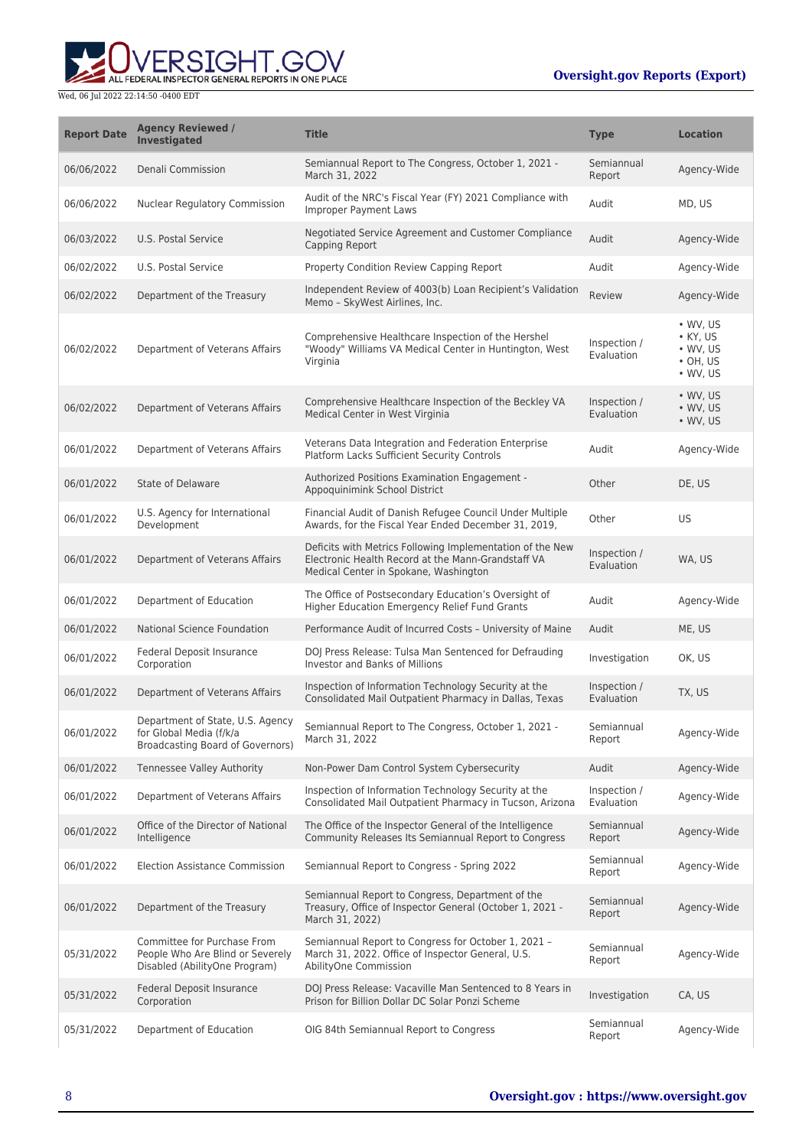**WERSIGHT.GOV** 

| <b>Report Date</b> | <b>Agency Reviewed /</b><br><b>Investigated</b>                                                  | <b>Title</b>                                                                                                                                             | <b>Type</b>                | <b>Location</b>                                                                        |
|--------------------|--------------------------------------------------------------------------------------------------|----------------------------------------------------------------------------------------------------------------------------------------------------------|----------------------------|----------------------------------------------------------------------------------------|
| 06/06/2022         | Denali Commission                                                                                | Semiannual Report to The Congress, October 1, 2021 -<br>March 31, 2022                                                                                   | Semiannual<br>Report       | Agency-Wide                                                                            |
| 06/06/2022         | Nuclear Regulatory Commission                                                                    | Audit of the NRC's Fiscal Year (FY) 2021 Compliance with<br><b>Improper Payment Laws</b>                                                                 | Audit                      | MD, US                                                                                 |
| 06/03/2022         | U.S. Postal Service                                                                              | Negotiated Service Agreement and Customer Compliance<br>Capping Report                                                                                   | Audit                      | Agency-Wide                                                                            |
| 06/02/2022         | U.S. Postal Service                                                                              | Property Condition Review Capping Report                                                                                                                 | Audit                      | Agency-Wide                                                                            |
| 06/02/2022         | Department of the Treasury                                                                       | Independent Review of 4003(b) Loan Recipient's Validation<br>Memo - SkyWest Airlines, Inc.                                                               | Review                     | Agency-Wide                                                                            |
| 06/02/2022         | Department of Veterans Affairs                                                                   | Comprehensive Healthcare Inspection of the Hershel<br>"Woody" Williams VA Medical Center in Huntington, West<br>Virginia                                 | Inspection /<br>Evaluation | • WV, US<br>$\bullet$ KY, US<br>$\bullet$ WV, US<br>$\cdot$ OH, US<br>$\bullet$ WV, US |
| 06/02/2022         | Department of Veterans Affairs                                                                   | Comprehensive Healthcare Inspection of the Beckley VA<br>Medical Center in West Virginia                                                                 | Inspection /<br>Evaluation | • WV, US<br>$\bullet$ WV, US<br>$\bullet$ WV, US                                       |
| 06/01/2022         | Department of Veterans Affairs                                                                   | Veterans Data Integration and Federation Enterprise<br>Platform Lacks Sufficient Security Controls                                                       | Audit                      | Agency-Wide                                                                            |
| 06/01/2022         | <b>State of Delaware</b>                                                                         | Authorized Positions Examination Engagement -<br>Appoquinimink School District                                                                           | Other                      | DE, US                                                                                 |
| 06/01/2022         | U.S. Agency for International<br>Development                                                     | Financial Audit of Danish Refugee Council Under Multiple<br>Awards, for the Fiscal Year Ended December 31, 2019,                                         | Other                      | US                                                                                     |
| 06/01/2022         | Department of Veterans Affairs                                                                   | Deficits with Metrics Following Implementation of the New<br>Electronic Health Record at the Mann-Grandstaff VA<br>Medical Center in Spokane, Washington | Inspection /<br>Evaluation | WA, US                                                                                 |
| 06/01/2022         | Department of Education                                                                          | The Office of Postsecondary Education's Oversight of<br>Higher Education Emergency Relief Fund Grants                                                    | Audit                      | Agency-Wide                                                                            |
| 06/01/2022         | National Science Foundation                                                                      | Performance Audit of Incurred Costs - University of Maine                                                                                                | Audit                      | ME, US                                                                                 |
| 06/01/2022         | Federal Deposit Insurance<br>Corporation                                                         | DOJ Press Release: Tulsa Man Sentenced for Defrauding<br>Investor and Banks of Millions                                                                  | Investigation              | OK, US                                                                                 |
| 06/01/2022         | Department of Veterans Affairs                                                                   | Inspection of Information Technology Security at the<br>Consolidated Mail Outpatient Pharmacy in Dallas, Texas                                           | Inspection /<br>Evaluation | TX, US                                                                                 |
| 06/01/2022         | Department of State, U.S. Agency<br>for Global Media (f/k/a<br>Broadcasting Board of Governors)  | Semiannual Report to The Congress, October 1, 2021 -<br>March 31, 2022                                                                                   | Semiannual<br>Report       | Agency-Wide                                                                            |
| 06/01/2022         | Tennessee Valley Authority                                                                       | Non-Power Dam Control System Cybersecurity                                                                                                               | Audit                      | Agency-Wide                                                                            |
| 06/01/2022         | Department of Veterans Affairs                                                                   | Inspection of Information Technology Security at the<br>Consolidated Mail Outpatient Pharmacy in Tucson, Arizona                                         | Inspection /<br>Evaluation | Agency-Wide                                                                            |
| 06/01/2022         | Office of the Director of National<br>Intelligence                                               | The Office of the Inspector General of the Intelligence<br>Community Releases Its Semiannual Report to Congress                                          | Semiannual<br>Report       | Agency-Wide                                                                            |
| 06/01/2022         | <b>Election Assistance Commission</b>                                                            | Semiannual Report to Congress - Spring 2022                                                                                                              | Semiannual<br>Report       | Agency-Wide                                                                            |
| 06/01/2022         | Department of the Treasury                                                                       | Semiannual Report to Congress, Department of the<br>Treasury, Office of Inspector General (October 1, 2021 -<br>March 31, 2022)                          | Semiannual<br>Report       | Agency-Wide                                                                            |
| 05/31/2022         | Committee for Purchase From<br>People Who Are Blind or Severely<br>Disabled (AbilityOne Program) | Semiannual Report to Congress for October 1, 2021 -<br>March 31, 2022. Office of Inspector General, U.S.<br>AbilityOne Commission                        | Semiannual<br>Report       | Agency-Wide                                                                            |
| 05/31/2022         | Federal Deposit Insurance<br>Corporation                                                         | DOJ Press Release: Vacaville Man Sentenced to 8 Years in<br>Prison for Billion Dollar DC Solar Ponzi Scheme                                              | Investigation              | CA, US                                                                                 |
| 05/31/2022         | Department of Education                                                                          | OIG 84th Semiannual Report to Congress                                                                                                                   | Semiannual<br>Report       | Agency-Wide                                                                            |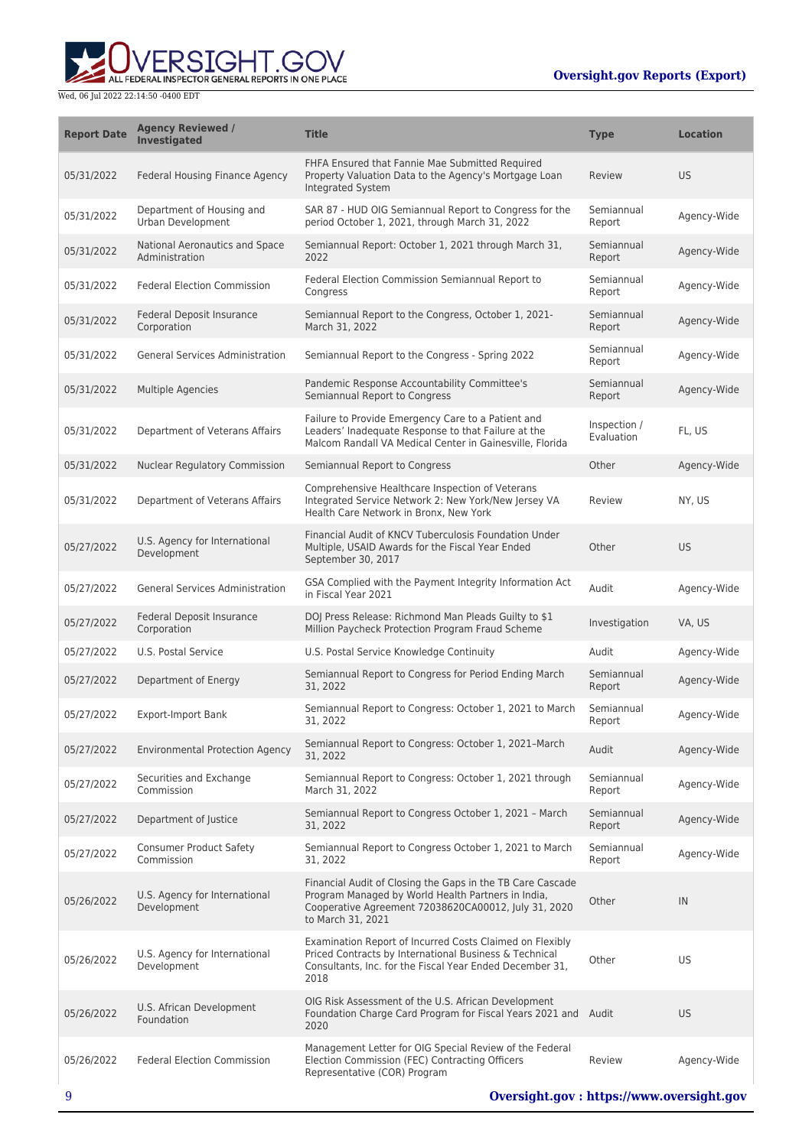

| <b>Report Date</b> | <b>Agency Reviewed /</b><br><b>Investigated</b>  | <b>Title</b>                                                                                                                                                                                  | <b>Type</b>                | <b>Location</b> |
|--------------------|--------------------------------------------------|-----------------------------------------------------------------------------------------------------------------------------------------------------------------------------------------------|----------------------------|-----------------|
| 05/31/2022         | Federal Housing Finance Agency                   | FHFA Ensured that Fannie Mae Submitted Required<br>Property Valuation Data to the Agency's Mortgage Loan<br>Integrated System                                                                 | Review                     | <b>US</b>       |
| 05/31/2022         | Department of Housing and<br>Urban Development   | SAR 87 - HUD OIG Semiannual Report to Congress for the<br>period October 1, 2021, through March 31, 2022                                                                                      | Semiannual<br>Report       | Agency-Wide     |
| 05/31/2022         | National Aeronautics and Space<br>Administration | Semiannual Report: October 1, 2021 through March 31,<br>2022                                                                                                                                  | Semiannual<br>Report       | Agency-Wide     |
| 05/31/2022         | <b>Federal Election Commission</b>               | Federal Election Commission Semiannual Report to<br>Congress                                                                                                                                  | Semiannual<br>Report       | Agency-Wide     |
| 05/31/2022         | Federal Deposit Insurance<br>Corporation         | Semiannual Report to the Congress, October 1, 2021-<br>March 31, 2022                                                                                                                         | Semiannual<br>Report       | Agency-Wide     |
| 05/31/2022         | <b>General Services Administration</b>           | Semiannual Report to the Congress - Spring 2022                                                                                                                                               | Semiannual<br>Report       | Agency-Wide     |
| 05/31/2022         | <b>Multiple Agencies</b>                         | Pandemic Response Accountability Committee's<br>Semiannual Report to Congress                                                                                                                 | Semiannual<br>Report       | Agency-Wide     |
| 05/31/2022         | Department of Veterans Affairs                   | Failure to Provide Emergency Care to a Patient and<br>Leaders' Inadequate Response to that Failure at the<br>Malcom Randall VA Medical Center in Gainesville, Florida                         | Inspection /<br>Evaluation | FL, US          |
| 05/31/2022         | Nuclear Regulatory Commission                    | Semiannual Report to Congress                                                                                                                                                                 | Other                      | Agency-Wide     |
| 05/31/2022         | Department of Veterans Affairs                   | Comprehensive Healthcare Inspection of Veterans<br>Integrated Service Network 2: New York/New Jersey VA<br>Health Care Network in Bronx, New York                                             | Review                     | NY, US          |
| 05/27/2022         | U.S. Agency for International<br>Development     | Financial Audit of KNCV Tuberculosis Foundation Under<br>Multiple, USAID Awards for the Fiscal Year Ended<br>September 30, 2017                                                               | Other                      | <b>US</b>       |
| 05/27/2022         | <b>General Services Administration</b>           | GSA Complied with the Payment Integrity Information Act<br>in Fiscal Year 2021                                                                                                                | Audit                      | Agency-Wide     |
| 05/27/2022         | Federal Deposit Insurance<br>Corporation         | DOJ Press Release: Richmond Man Pleads Guilty to \$1<br>Million Paycheck Protection Program Fraud Scheme                                                                                      | Investigation              | VA, US          |
| 05/27/2022         | U.S. Postal Service                              | U.S. Postal Service Knowledge Continuity                                                                                                                                                      | Audit                      | Agency-Wide     |
| 05/27/2022         | Department of Energy                             | Semiannual Report to Congress for Period Ending March<br>31, 2022                                                                                                                             | Semiannual<br>Report       | Agency-Wide     |
| 05/27/2022         | <b>Export-Import Bank</b>                        | Semiannual Report to Congress: October 1, 2021 to March<br>31, 2022                                                                                                                           | Semiannual<br>Report       | Agency-Wide     |
| 05/27/2022         | <b>Environmental Protection Agency</b>           | Semiannual Report to Congress: October 1, 2021-March<br>31, 2022                                                                                                                              | Audit                      | Agency-Wide     |
| 05/27/2022         | Securities and Exchange<br>Commission            | Semiannual Report to Congress: October 1, 2021 through<br>March 31, 2022                                                                                                                      | Semiannual<br>Report       | Agency-Wide     |
| 05/27/2022         | Department of Justice                            | Semiannual Report to Congress October 1, 2021 - March<br>31, 2022                                                                                                                             | Semiannual<br>Report       | Agency-Wide     |
| 05/27/2022         | <b>Consumer Product Safety</b><br>Commission     | Semiannual Report to Congress October 1, 2021 to March<br>31, 2022                                                                                                                            | Semiannual<br>Report       | Agency-Wide     |
| 05/26/2022         | U.S. Agency for International<br>Development     | Financial Audit of Closing the Gaps in the TB Care Cascade<br>Program Managed by World Health Partners in India,<br>Cooperative Agreement 72038620CA00012, July 31, 2020<br>to March 31, 2021 | Other                      | IN              |
| 05/26/2022         | U.S. Agency for International<br>Development     | Examination Report of Incurred Costs Claimed on Flexibly<br>Priced Contracts by International Business & Technical<br>Consultants, Inc. for the Fiscal Year Ended December 31,<br>2018        | Other                      | US              |
| 05/26/2022         | U.S. African Development<br>Foundation           | OIG Risk Assessment of the U.S. African Development<br>Foundation Charge Card Program for Fiscal Years 2021 and Audit<br>2020                                                                 |                            | <b>US</b>       |
| 05/26/2022         | <b>Federal Election Commission</b>               | Management Letter for OIG Special Review of the Federal<br>Election Commission (FEC) Contracting Officers<br>Representative (COR) Program                                                     | Review                     | Agency-Wide     |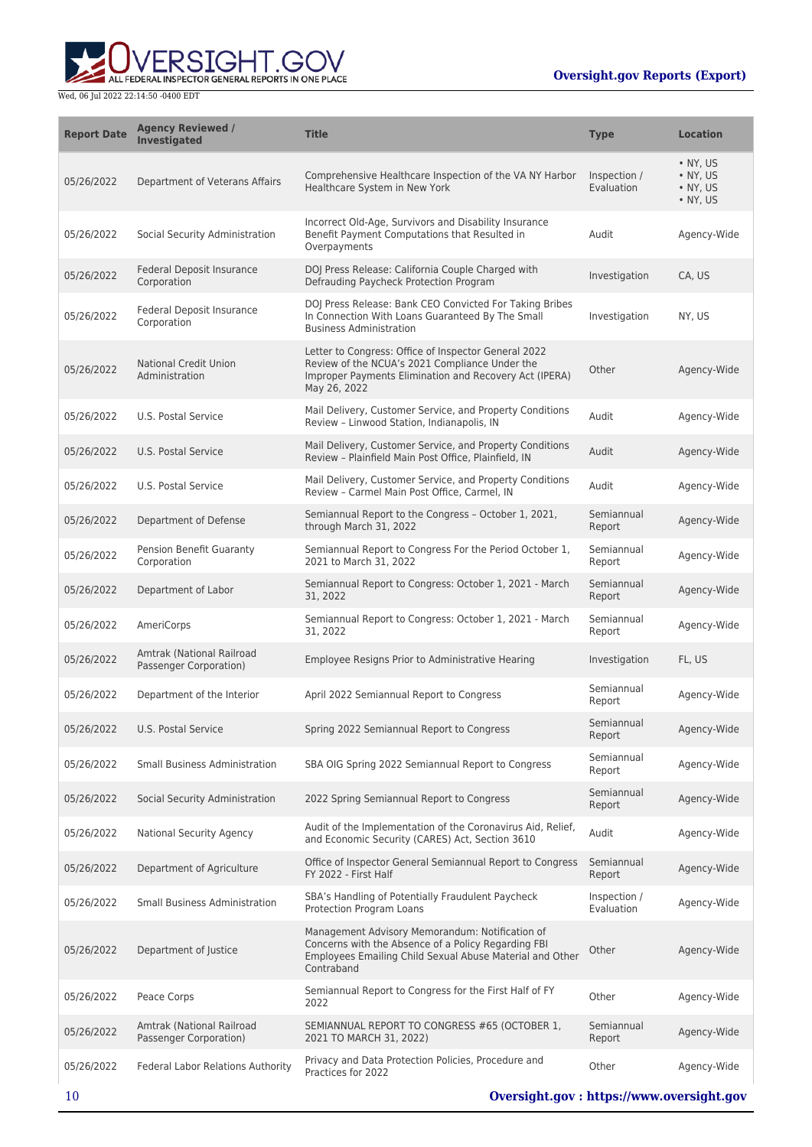**WERSIGHT.GOV** 

| <b>Report Date</b> | <b>Agency Reviewed /</b><br><b>Investigated</b>     | <b>Title</b>                                                                                                                                                                     | <b>Type</b>                | <b>Location</b>                                              |
|--------------------|-----------------------------------------------------|----------------------------------------------------------------------------------------------------------------------------------------------------------------------------------|----------------------------|--------------------------------------------------------------|
| 05/26/2022         | Department of Veterans Affairs                      | Comprehensive Healthcare Inspection of the VA NY Harbor<br>Healthcare System in New York                                                                                         | Inspection /<br>Evaluation | $\bullet$ NY, US<br>$\bullet$ NY, US<br>• NY, US<br>• NY, US |
| 05/26/2022         | Social Security Administration                      | Incorrect Old-Age, Survivors and Disability Insurance<br>Benefit Payment Computations that Resulted in<br>Overpayments                                                           | Audit                      | Agency-Wide                                                  |
| 05/26/2022         | Federal Deposit Insurance<br>Corporation            | DOJ Press Release: California Couple Charged with<br>Defrauding Paycheck Protection Program                                                                                      | Investigation              | CA, US                                                       |
| 05/26/2022         | <b>Federal Deposit Insurance</b><br>Corporation     | DOJ Press Release: Bank CEO Convicted For Taking Bribes<br>In Connection With Loans Guaranteed By The Small<br><b>Business Administration</b>                                    | Investigation              | NY, US                                                       |
| 05/26/2022         | <b>National Credit Union</b><br>Administration      | Letter to Congress: Office of Inspector General 2022<br>Review of the NCUA's 2021 Compliance Under the<br>Improper Payments Elimination and Recovery Act (IPERA)<br>May 26, 2022 | Other                      | Agency-Wide                                                  |
| 05/26/2022         | U.S. Postal Service                                 | Mail Delivery, Customer Service, and Property Conditions<br>Review - Linwood Station, Indianapolis, IN                                                                           | Audit                      | Agency-Wide                                                  |
| 05/26/2022         | U.S. Postal Service                                 | Mail Delivery, Customer Service, and Property Conditions<br>Review - Plainfield Main Post Office, Plainfield, IN                                                                 | Audit                      | Agency-Wide                                                  |
| 05/26/2022         | U.S. Postal Service                                 | Mail Delivery, Customer Service, and Property Conditions<br>Review - Carmel Main Post Office, Carmel, IN                                                                         | Audit                      | Agency-Wide                                                  |
| 05/26/2022         | Department of Defense                               | Semiannual Report to the Congress - October 1, 2021,<br>through March 31, 2022                                                                                                   | Semiannual<br>Report       | Agency-Wide                                                  |
| 05/26/2022         | <b>Pension Benefit Guaranty</b><br>Corporation      | Semiannual Report to Congress For the Period October 1,<br>2021 to March 31, 2022                                                                                                | Semiannual<br>Report       | Agency-Wide                                                  |
| 05/26/2022         | Department of Labor                                 | Semiannual Report to Congress: October 1, 2021 - March<br>31, 2022                                                                                                               | Semiannual<br>Report       | Agency-Wide                                                  |
| 05/26/2022         | AmeriCorps                                          | Semiannual Report to Congress: October 1, 2021 - March<br>31, 2022                                                                                                               | Semiannual<br>Report       | Agency-Wide                                                  |
| 05/26/2022         | Amtrak (National Railroad<br>Passenger Corporation) | Employee Resigns Prior to Administrative Hearing                                                                                                                                 | Investigation              | FL, US                                                       |
| 05/26/2022         | Department of the Interior                          | April 2022 Semiannual Report to Congress                                                                                                                                         | Semiannual<br>Report       | Agency-Wide                                                  |
| 05/26/2022         | U.S. Postal Service                                 | Spring 2022 Semiannual Report to Congress                                                                                                                                        | Semiannual<br>Report       | Agency-Wide                                                  |
| 05/26/2022         | <b>Small Business Administration</b>                | SBA OIG Spring 2022 Semiannual Report to Congress                                                                                                                                | Semiannual<br>Report       | Agency-Wide                                                  |
| 05/26/2022         | Social Security Administration                      | 2022 Spring Semiannual Report to Congress                                                                                                                                        | Semiannual<br>Report       | Agency-Wide                                                  |
| 05/26/2022         | <b>National Security Agency</b>                     | Audit of the Implementation of the Coronavirus Aid, Relief,<br>and Economic Security (CARES) Act, Section 3610                                                                   | Audit                      | Agency-Wide                                                  |
| 05/26/2022         | Department of Agriculture                           | Office of Inspector General Semiannual Report to Congress<br>FY 2022 - First Half                                                                                                | Semiannual<br>Report       | Agency-Wide                                                  |
| 05/26/2022         | Small Business Administration                       | SBA's Handling of Potentially Fraudulent Paycheck<br>Protection Program Loans                                                                                                    | Inspection /<br>Evaluation | Agency-Wide                                                  |
| 05/26/2022         | Department of Justice                               | Management Advisory Memorandum: Notification of<br>Concerns with the Absence of a Policy Regarding FBI<br>Employees Emailing Child Sexual Abuse Material and Other<br>Contraband | Other                      | Agency-Wide                                                  |
| 05/26/2022         | Peace Corps                                         | Semiannual Report to Congress for the First Half of FY<br>2022                                                                                                                   | Other                      | Agency-Wide                                                  |
| 05/26/2022         | Amtrak (National Railroad<br>Passenger Corporation) | SEMIANNUAL REPORT TO CONGRESS #65 (OCTOBER 1,<br>2021 TO MARCH 31, 2022)                                                                                                         | Semiannual<br>Report       | Agency-Wide                                                  |
| 05/26/2022         | Federal Labor Relations Authority                   | Privacy and Data Protection Policies, Procedure and<br>Practices for 2022                                                                                                        | Other                      | Agency-Wide                                                  |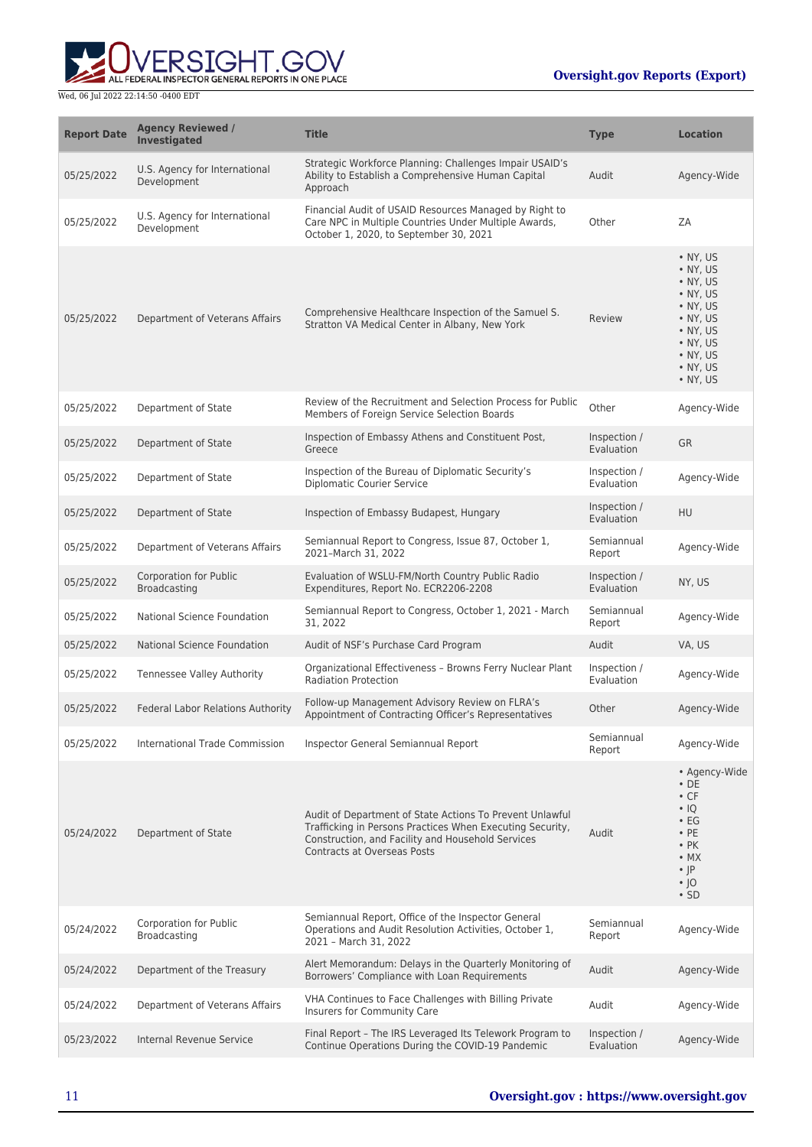

| <b>Report Date</b> | <b>Agency Reviewed /</b><br><b>Investigated</b> | <b>Title</b>                                                                                                                                                                                              | <b>Type</b>                | <b>Location</b>                                                                                                                                                                                                          |
|--------------------|-------------------------------------------------|-----------------------------------------------------------------------------------------------------------------------------------------------------------------------------------------------------------|----------------------------|--------------------------------------------------------------------------------------------------------------------------------------------------------------------------------------------------------------------------|
| 05/25/2022         | U.S. Agency for International<br>Development    | Strategic Workforce Planning: Challenges Impair USAID's<br>Ability to Establish a Comprehensive Human Capital<br>Approach                                                                                 | Audit                      | Agency-Wide                                                                                                                                                                                                              |
| 05/25/2022         | U.S. Agency for International<br>Development    | Financial Audit of USAID Resources Managed by Right to<br>Care NPC in Multiple Countries Under Multiple Awards,<br>October 1, 2020, to September 30, 2021                                                 | Other                      | ZA                                                                                                                                                                                                                       |
| 05/25/2022         | Department of Veterans Affairs                  | Comprehensive Healthcare Inspection of the Samuel S.<br>Stratton VA Medical Center in Albany, New York                                                                                                    | Review                     | $\bullet$ NY, US<br>$\bullet$ NY, US<br>$\bullet$ NY, US<br>$\bullet$ NY, US<br>$\bullet$ NY, US<br>$\bullet$ NY, US<br>$\bullet$ NY, US<br>$\bullet$ NY, US<br>$\bullet$ NY, US<br>$\bullet$ NY, US<br>$\bullet$ NY, US |
| 05/25/2022         | Department of State                             | Review of the Recruitment and Selection Process for Public<br>Members of Foreign Service Selection Boards                                                                                                 | Other                      | Agency-Wide                                                                                                                                                                                                              |
| 05/25/2022         | Department of State                             | Inspection of Embassy Athens and Constituent Post,<br>Greece                                                                                                                                              | Inspection /<br>Evaluation | <b>GR</b>                                                                                                                                                                                                                |
| 05/25/2022         | Department of State                             | Inspection of the Bureau of Diplomatic Security's<br><b>Diplomatic Courier Service</b>                                                                                                                    | Inspection /<br>Evaluation | Agency-Wide                                                                                                                                                                                                              |
| 05/25/2022         | Department of State                             | Inspection of Embassy Budapest, Hungary                                                                                                                                                                   | Inspection /<br>Evaluation | HU                                                                                                                                                                                                                       |
| 05/25/2022         | Department of Veterans Affairs                  | Semiannual Report to Congress, Issue 87, October 1,<br>2021-March 31, 2022                                                                                                                                | Semiannual<br>Report       | Agency-Wide                                                                                                                                                                                                              |
| 05/25/2022         | <b>Corporation for Public</b><br>Broadcasting   | Evaluation of WSLU-FM/North Country Public Radio<br>Expenditures, Report No. ECR2206-2208                                                                                                                 | Inspection /<br>Evaluation | NY, US                                                                                                                                                                                                                   |
| 05/25/2022         | National Science Foundation                     | Semiannual Report to Congress, October 1, 2021 - March<br>31, 2022                                                                                                                                        | Semiannual<br>Report       | Agency-Wide                                                                                                                                                                                                              |
| 05/25/2022         | <b>National Science Foundation</b>              | Audit of NSF's Purchase Card Program                                                                                                                                                                      | Audit                      | VA, US                                                                                                                                                                                                                   |
| 05/25/2022         | <b>Tennessee Valley Authority</b>               | Organizational Effectiveness - Browns Ferry Nuclear Plant<br><b>Radiation Protection</b>                                                                                                                  | Inspection /<br>Evaluation | Agency-Wide                                                                                                                                                                                                              |
| 05/25/2022         | Federal Labor Relations Authority               | Follow-up Management Advisory Review on FLRA's<br>Appointment of Contracting Officer's Representatives                                                                                                    | Other                      | Agency-Wide                                                                                                                                                                                                              |
| 05/25/2022         | International Trade Commission                  | Inspector General Semiannual Report                                                                                                                                                                       | Semiannual<br>Report       | Agency-Wide                                                                                                                                                                                                              |
| 05/24/2022         | Department of State                             | Audit of Department of State Actions To Prevent Unlawful<br>Trafficking in Persons Practices When Executing Security,<br>Construction, and Facility and Household Services<br>Contracts at Overseas Posts | Audit                      | • Agency-Wide<br>$\cdot$ DE<br>$\cdot$ CF<br>$\cdot$ IQ<br>$\cdot$ EG<br>$\cdot$ PE<br>$\cdot$ PK<br>$\cdot$ MX<br>$\cdot$  P<br>$\cdot$ 10<br>$\cdot$ SD                                                                |
| 05/24/2022         | Corporation for Public<br>Broadcasting          | Semiannual Report, Office of the Inspector General<br>Operations and Audit Resolution Activities, October 1,<br>2021 - March 31, 2022                                                                     | Semiannual<br>Report       | Agency-Wide                                                                                                                                                                                                              |
| 05/24/2022         | Department of the Treasury                      | Alert Memorandum: Delays in the Quarterly Monitoring of<br>Borrowers' Compliance with Loan Requirements                                                                                                   | Audit                      | Agency-Wide                                                                                                                                                                                                              |
| 05/24/2022         | Department of Veterans Affairs                  | VHA Continues to Face Challenges with Billing Private<br>Insurers for Community Care                                                                                                                      | Audit                      | Agency-Wide                                                                                                                                                                                                              |
| 05/23/2022         | Internal Revenue Service                        | Final Report - The IRS Leveraged Its Telework Program to<br>Continue Operations During the COVID-19 Pandemic                                                                                              | Inspection /<br>Evaluation | Agency-Wide                                                                                                                                                                                                              |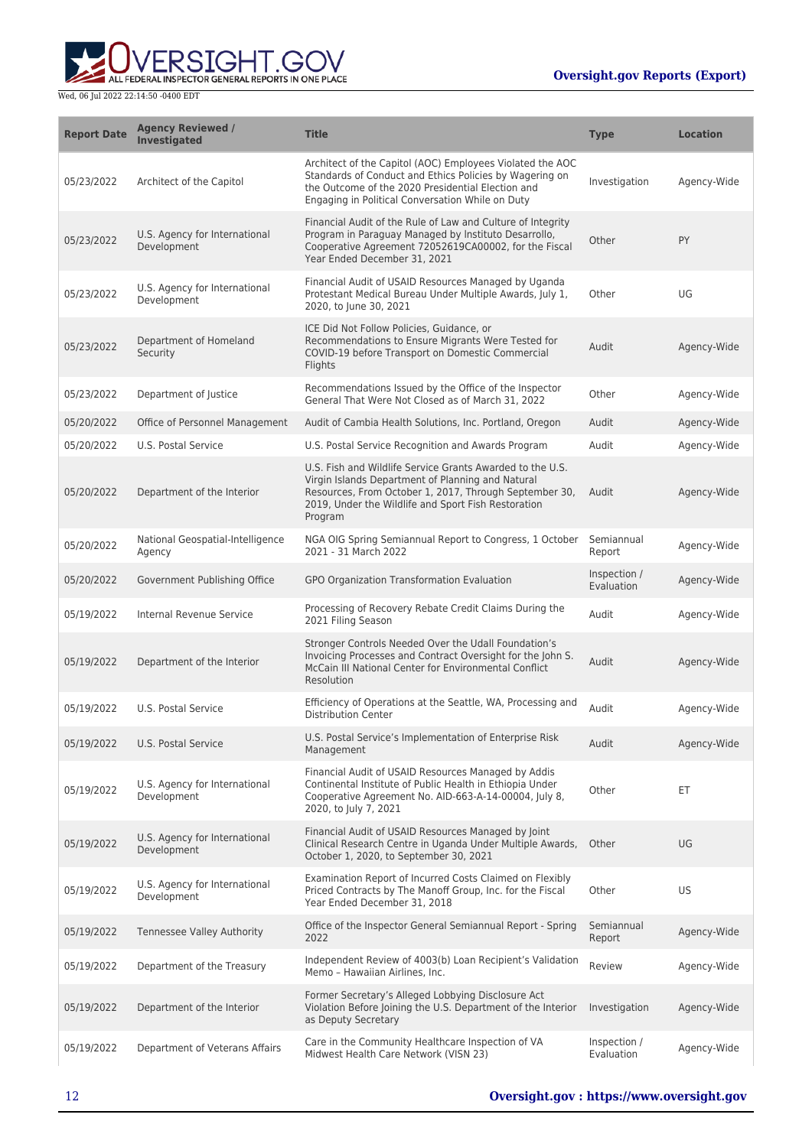

| <b>Report Date</b> | <b>Agency Reviewed /</b><br><b>Investigated</b> | <b>Title</b>                                                                                                                                                                                                                               | <b>Type</b>                | <b>Location</b> |
|--------------------|-------------------------------------------------|--------------------------------------------------------------------------------------------------------------------------------------------------------------------------------------------------------------------------------------------|----------------------------|-----------------|
| 05/23/2022         | Architect of the Capitol                        | Architect of the Capitol (AOC) Employees Violated the AOC<br>Standards of Conduct and Ethics Policies by Wagering on<br>the Outcome of the 2020 Presidential Election and<br>Engaging in Political Conversation While on Duty              | Investigation              | Agency-Wide     |
| 05/23/2022         | U.S. Agency for International<br>Development    | Financial Audit of the Rule of Law and Culture of Integrity<br>Program in Paraguay Managed by Instituto Desarrollo,<br>Cooperative Agreement 72052619CA00002, for the Fiscal<br>Year Ended December 31, 2021                               | Other                      | PY              |
| 05/23/2022         | U.S. Agency for International<br>Development    | Financial Audit of USAID Resources Managed by Uganda<br>Protestant Medical Bureau Under Multiple Awards, July 1,<br>2020, to June 30, 2021                                                                                                 | Other                      | UG              |
| 05/23/2022         | Department of Homeland<br>Security              | ICE Did Not Follow Policies, Guidance, or<br>Recommendations to Ensure Migrants Were Tested for<br>COVID-19 before Transport on Domestic Commercial<br>Flights                                                                             | Audit                      | Agency-Wide     |
| 05/23/2022         | Department of Justice                           | Recommendations Issued by the Office of the Inspector<br>General That Were Not Closed as of March 31, 2022                                                                                                                                 | Other                      | Agency-Wide     |
| 05/20/2022         | Office of Personnel Management                  | Audit of Cambia Health Solutions, Inc. Portland, Oregon                                                                                                                                                                                    | Audit                      | Agency-Wide     |
| 05/20/2022         | U.S. Postal Service                             | U.S. Postal Service Recognition and Awards Program                                                                                                                                                                                         | Audit                      | Agency-Wide     |
| 05/20/2022         | Department of the Interior                      | U.S. Fish and Wildlife Service Grants Awarded to the U.S.<br>Virgin Islands Department of Planning and Natural<br>Resources, From October 1, 2017, Through September 30,<br>2019, Under the Wildlife and Sport Fish Restoration<br>Program | Audit                      | Agency-Wide     |
| 05/20/2022         | National Geospatial-Intelligence<br>Agency      | NGA OIG Spring Semiannual Report to Congress, 1 October<br>2021 - 31 March 2022                                                                                                                                                            | Semiannual<br>Report       | Agency-Wide     |
| 05/20/2022         | Government Publishing Office                    | GPO Organization Transformation Evaluation                                                                                                                                                                                                 | Inspection /<br>Evaluation | Agency-Wide     |
| 05/19/2022         | Internal Revenue Service                        | Processing of Recovery Rebate Credit Claims During the<br>2021 Filing Season                                                                                                                                                               | Audit                      | Agency-Wide     |
| 05/19/2022         | Department of the Interior                      | Stronger Controls Needed Over the Udall Foundation's<br>Invoicing Processes and Contract Oversight for the John S.<br>McCain III National Center for Environmental Conflict<br>Resolution                                                  | Audit                      | Agency-Wide     |
| 05/19/2022         | U.S. Postal Service                             | Efficiency of Operations at the Seattle, WA, Processing and<br><b>Distribution Center</b>                                                                                                                                                  | Audit                      | Agency-Wide     |
| 05/19/2022         | U.S. Postal Service                             | U.S. Postal Service's Implementation of Enterprise Risk<br>Management                                                                                                                                                                      | Audit                      | Agency-Wide     |
| 05/19/2022         | U.S. Agency for International<br>Development    | Financial Audit of USAID Resources Managed by Addis<br>Continental Institute of Public Health in Ethiopia Under<br>Cooperative Agreement No. AID-663-A-14-00004, July 8,<br>2020, to July 7, 2021                                          | Other                      | ET              |
| 05/19/2022         | U.S. Agency for International<br>Development    | Financial Audit of USAID Resources Managed by Joint<br>Clinical Research Centre in Uganda Under Multiple Awards,<br>October 1, 2020, to September 30, 2021                                                                                 | Other                      | UG              |
| 05/19/2022         | U.S. Agency for International<br>Development    | Examination Report of Incurred Costs Claimed on Flexibly<br>Priced Contracts by The Manoff Group, Inc. for the Fiscal<br>Year Ended December 31, 2018                                                                                      | Other                      | <b>US</b>       |
| 05/19/2022         | Tennessee Valley Authority                      | Office of the Inspector General Semiannual Report - Spring<br>2022                                                                                                                                                                         | Semiannual<br>Report       | Agency-Wide     |
| 05/19/2022         | Department of the Treasury                      | Independent Review of 4003(b) Loan Recipient's Validation<br>Memo - Hawaiian Airlines, Inc.                                                                                                                                                | Review                     | Agency-Wide     |
| 05/19/2022         | Department of the Interior                      | Former Secretary's Alleged Lobbying Disclosure Act<br>Violation Before Joining the U.S. Department of the Interior<br>as Deputy Secretary                                                                                                  | Investigation              | Agency-Wide     |
| 05/19/2022         | Department of Veterans Affairs                  | Care in the Community Healthcare Inspection of VA<br>Midwest Health Care Network (VISN 23)                                                                                                                                                 | Inspection /<br>Evaluation | Agency-Wide     |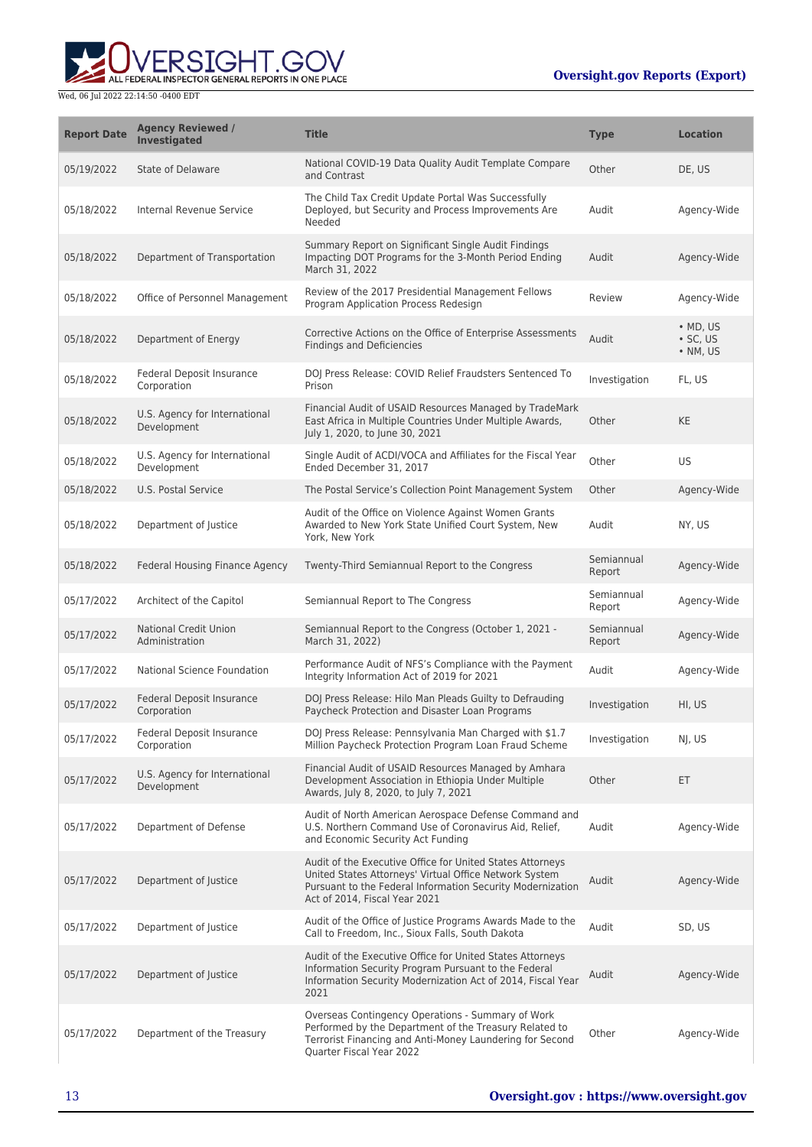

| <b>Report Date</b> | <b>Agency Reviewed /</b><br>Investigated        | <b>Title</b>                                                                                                                                                                                                       | <b>Type</b>          | <b>Location</b>                                |
|--------------------|-------------------------------------------------|--------------------------------------------------------------------------------------------------------------------------------------------------------------------------------------------------------------------|----------------------|------------------------------------------------|
| 05/19/2022         | State of Delaware                               | National COVID-19 Data Quality Audit Template Compare<br>and Contrast                                                                                                                                              | Other                | DE, US                                         |
| 05/18/2022         | Internal Revenue Service                        | The Child Tax Credit Update Portal Was Successfully<br>Deployed, but Security and Process Improvements Are<br>Needed                                                                                               | Audit                | Agency-Wide                                    |
| 05/18/2022         | Department of Transportation                    | Summary Report on Significant Single Audit Findings<br>Impacting DOT Programs for the 3-Month Period Ending<br>March 31, 2022                                                                                      | Audit                | Agency-Wide                                    |
| 05/18/2022         | Office of Personnel Management                  | Review of the 2017 Presidential Management Fellows<br>Program Application Process Redesign                                                                                                                         | Review               | Agency-Wide                                    |
| 05/18/2022         | Department of Energy                            | Corrective Actions on the Office of Enterprise Assessments<br><b>Findings and Deficiencies</b>                                                                                                                     | Audit                | $\bullet$ MD, US<br>$\cdot$ SC, US<br>• NM, US |
| 05/18/2022         | Federal Deposit Insurance<br>Corporation        | DOJ Press Release: COVID Relief Fraudsters Sentenced To<br>Prison                                                                                                                                                  | Investigation        | FL, US                                         |
| 05/18/2022         | U.S. Agency for International<br>Development    | Financial Audit of USAID Resources Managed by TradeMark<br>East Africa in Multiple Countries Under Multiple Awards,<br>July 1, 2020, to June 30, 2021                                                              | Other                | <b>KE</b>                                      |
| 05/18/2022         | U.S. Agency for International<br>Development    | Single Audit of ACDI/VOCA and Affiliates for the Fiscal Year<br>Ended December 31, 2017                                                                                                                            | Other                | US                                             |
| 05/18/2022         | U.S. Postal Service                             | The Postal Service's Collection Point Management System                                                                                                                                                            | Other                | Agency-Wide                                    |
| 05/18/2022         | Department of Justice                           | Audit of the Office on Violence Against Women Grants<br>Awarded to New York State Unified Court System, New<br>York, New York                                                                                      | Audit                | NY, US                                         |
| 05/18/2022         | Federal Housing Finance Agency                  | Twenty-Third Semiannual Report to the Congress                                                                                                                                                                     | Semiannual<br>Report | Agency-Wide                                    |
| 05/17/2022         | Architect of the Capitol                        | Semiannual Report to The Congress                                                                                                                                                                                  | Semiannual<br>Report | Agency-Wide                                    |
| 05/17/2022         | <b>National Credit Union</b><br>Administration  | Semiannual Report to the Congress (October 1, 2021 -<br>March 31, 2022)                                                                                                                                            | Semiannual<br>Report | Agency-Wide                                    |
| 05/17/2022         | National Science Foundation                     | Performance Audit of NFS's Compliance with the Payment<br>Integrity Information Act of 2019 for 2021                                                                                                               | Audit                | Agency-Wide                                    |
| 05/17/2022         | <b>Federal Deposit Insurance</b><br>Corporation | DOJ Press Release: Hilo Man Pleads Guilty to Defrauding<br>Paycheck Protection and Disaster Loan Programs                                                                                                          | Investigation        | HI, US                                         |
| 05/17/2022         | Federal Deposit Insurance<br>Corporation        | DOJ Press Release: Pennsylvania Man Charged with \$1.7<br>Million Paycheck Protection Program Loan Fraud Scheme                                                                                                    | Investigation        | NJ, US                                         |
| 05/17/2022         | U.S. Agency for International<br>Development    | Financial Audit of USAID Resources Managed by Amhara<br>Development Association in Ethiopia Under Multiple<br>Awards, July 8, 2020, to July 7, 2021                                                                | Other                | ET.                                            |
| 05/17/2022         | Department of Defense                           | Audit of North American Aerospace Defense Command and<br>U.S. Northern Command Use of Coronavirus Aid, Relief,<br>and Economic Security Act Funding                                                                | Audit                | Agency-Wide                                    |
| 05/17/2022         | Department of Justice                           | Audit of the Executive Office for United States Attorneys<br>United States Attorneys' Virtual Office Network System<br>Pursuant to the Federal Information Security Modernization<br>Act of 2014, Fiscal Year 2021 | Audit                | Agency-Wide                                    |
| 05/17/2022         | Department of Justice                           | Audit of the Office of Justice Programs Awards Made to the<br>Call to Freedom, Inc., Sioux Falls, South Dakota                                                                                                     | Audit                | SD, US                                         |
| 05/17/2022         | Department of Justice                           | Audit of the Executive Office for United States Attorneys<br>Information Security Program Pursuant to the Federal<br>Information Security Modernization Act of 2014, Fiscal Year<br>2021                           | Audit                | Agency-Wide                                    |
| 05/17/2022         | Department of the Treasury                      | Overseas Contingency Operations - Summary of Work<br>Performed by the Department of the Treasury Related to<br>Terrorist Financing and Anti-Money Laundering for Second<br>Quarter Fiscal Year 2022                | Other                | Agency-Wide                                    |